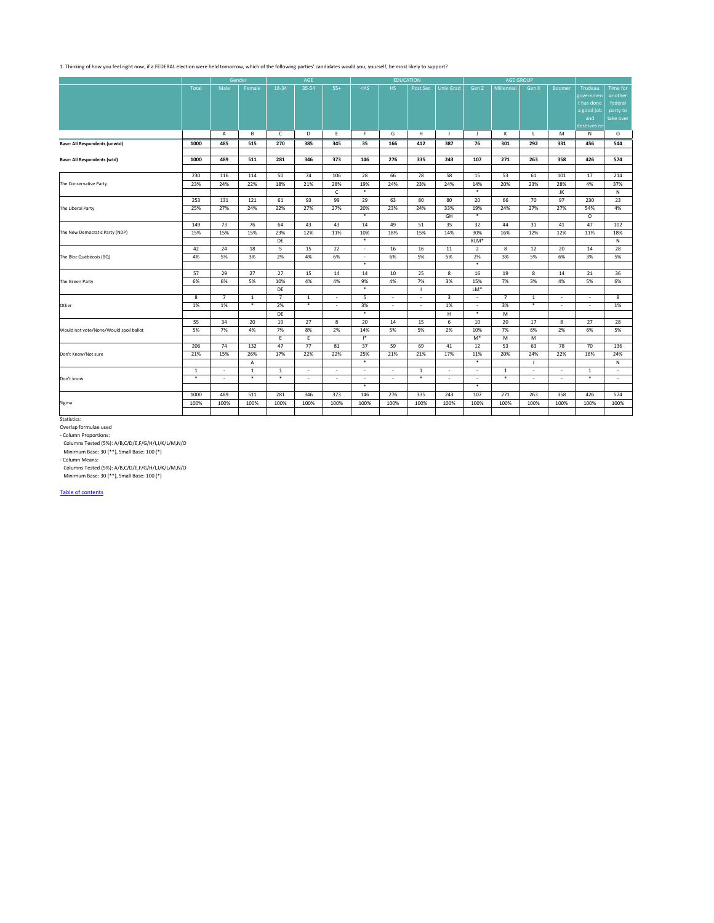|                                        |              |                          | Gender       |                | AGE          |              |                |                          | <b>EDUCATION</b>         |                  |                          | <b>AGE GROUP</b> |              |                          |                          |                          |
|----------------------------------------|--------------|--------------------------|--------------|----------------|--------------|--------------|----------------|--------------------------|--------------------------|------------------|--------------------------|------------------|--------------|--------------------------|--------------------------|--------------------------|
|                                        | Total        | Male                     | Female       | 18-34          | 35-54        | $55+$        | $<$ HS         | HS                       | Post Sec                 | <b>Univ Grad</b> | Gen Z                    | Millennial       | Gen X        | <b>Boomer</b>            | Trudeau                  | Time for                 |
|                                        |              |                          |              |                |              |              |                |                          |                          |                  |                          |                  |              |                          | governmen                | another                  |
|                                        |              |                          |              |                |              |              |                |                          |                          |                  |                          |                  |              |                          | t has done               | federal                  |
|                                        |              |                          |              |                |              |              |                |                          |                          |                  |                          |                  |              |                          | a good job               | party to                 |
|                                        |              |                          |              |                |              |              |                |                          |                          |                  |                          |                  |              |                          | and                      | take over                |
|                                        |              |                          |              |                |              |              |                |                          |                          |                  |                          |                  |              |                          | deserves re              |                          |
|                                        |              | $\mathsf{A}$             | B            | $\mathsf{C}$   | D            | E            | F.             | G                        | $\mathsf H$              |                  | J.                       | K                |              | M                        | N                        | $\mathsf{O}$             |
| <b>Base: All Respondents (unwtd)</b>   | 1000         | 485                      | 515          | 270            | 385          | 345          | 35             | 166                      | 412                      | 387              | 76                       | 301              | 292          | 331                      | 456                      | 544                      |
| <b>Base: All Respondents (wtd)</b>     | 1000         | 489                      | 511          | 281            | 346          | 373          | 146            | 276                      | 335                      | 243              | 107                      | 271              | 263          | 358                      | 426                      | 574                      |
|                                        |              |                          |              |                |              |              |                |                          |                          |                  |                          |                  |              |                          |                          |                          |
|                                        | 230          | 116                      | 114          | 50             | 74           | 106          | 28             | 66                       | 78                       | 58               | 15                       | 53               | 61           | 101                      | 17                       | 214                      |
| The Conservative Party                 | 23%          | 24%                      | 22%          | 18%            | 21%          | 28%          | 19%            | 24%                      | 23%                      | 24%              | 14%                      | 20%              | 23%          | 28%                      | 4%                       | 37%                      |
|                                        |              |                          |              |                |              | $\mathsf{C}$ | $\ast$         |                          |                          |                  | $\ast$                   |                  |              | JK                       |                          | N                        |
|                                        | 253          | 131                      | 121          | 61             | 93           | 99           | 29             | 63                       | 80                       | 80               | 20                       | 66               | 70           | 97                       | 230                      | 23                       |
| The Liberal Party                      | 25%          | 27%                      | 24%          | 22%            | 27%          | 27%          | 20%            | 23%                      | 24%                      | 33%              | 19%                      | 24%              | 27%          | 27%                      | 54%                      | 4%                       |
|                                        |              |                          |              |                |              |              | $\ast$         |                          |                          | GH               | $\ast$                   |                  |              |                          | $\circ$                  |                          |
|                                        | 149          | 73                       | 76           | 64             | 43           | 43           | 14             | 49                       | 51                       | 35               | 32                       | 44               | 31           | 41                       | 47                       | 102                      |
| The New Democratic Party (NDP)         | 15%          | 15%                      | 15%          | 23%            | 12%          | 11%          | 10%            | 18%                      | 15%                      | 14%              | 30%                      | 16%              | 12%          | 12%                      | 11%                      | 18%                      |
|                                        |              |                          |              | DE             |              |              | $\ast$         |                          |                          |                  | KLM*                     |                  |              |                          |                          | N                        |
|                                        | 42           | 24                       | 18           | 5 <sub>1</sub> | 15           | 22           | $\overline{a}$ | 16                       | 16                       | 11               | $\overline{2}$           | 8                | 12           | 20                       | 14                       | 28                       |
| The Bloc Québécois (BQ)                | 4%           | 5%                       | 3%           | 2%             | 4%           | 6%           | $\sim$         | 6%                       | 5%                       | 5%               | 2%                       | 3%               | 5%           | 6%                       | 3%                       | 5%                       |
|                                        |              |                          |              |                |              |              | $\ast$         |                          |                          |                  | $\ast$                   |                  |              |                          |                          |                          |
|                                        | 57           | 29                       | 27           | 27             | 15           | 14           | 14             | 10                       | 25                       | 8                | 16                       | 19               | 8            | 14                       | 21                       | 36                       |
| The Green Party                        | 6%           | 6%                       | 5%           | 10%            | 4%           | 4%           | 9%             | 4%                       | 7%                       | 3%               | 15%                      | 7%               | 3%           | 4%                       | 5%                       | 6%                       |
|                                        |              |                          |              | DE             |              |              | $\ast$         |                          |                          |                  | $LM*$                    |                  |              |                          |                          |                          |
|                                        | 8            | $\overline{7}$           | $\mathbf{1}$ | $7^{\circ}$    | $\mathbf{1}$ | $\sim$       | 5              | $\overline{\phantom{a}}$ | $\overline{\phantom{0}}$ | $\mathbf{3}$     | $\overline{\phantom{a}}$ | $\overline{7}$   | $\mathbf{1}$ | $\overline{a}$           | $\overline{\phantom{a}}$ | 8                        |
| Other                                  | 1%           | 1%                       | $\ast$       | 2%             | $\ast$       | $\sim$       | 3%             | $\overline{\phantom{a}}$ | $\sim$                   | 1%               | $\overline{\phantom{a}}$ | 3%               | $\ast$       | $\overline{\phantom{a}}$ | $\sim$                   | 1%                       |
|                                        |              |                          |              | DE             |              |              | $\ast$         |                          |                          | H.               | $\ast$                   | M                |              |                          |                          |                          |
|                                        | 55           | 34                       | 20           | 19             | 27           | 8            | 20             | 14                       | 15                       | 6                | 10                       | 20               | 17           | 8                        | 27                       | 28                       |
| Would not vote/None/Would spoil ballot | 5%           | 7%                       | $4%$         | 7%             | 8%           | $2\%$        | 14%            | 5%                       | 5%                       | 2%               | 10%                      | 7%               | 6%           | 2%                       | 6%                       | 5%                       |
|                                        |              |                          |              | $E_{\perp}$    | E            |              | $\mathsf{I}^*$ |                          |                          |                  | $M^*$                    | M                | M            |                          |                          |                          |
|                                        | 206          | 74                       | 132          | 47             | 77           | 81           | 37             | 59                       | 69                       | 41               | 12                       | 53               | 63           | 78                       | 70                       | 136                      |
| Don't Know/Not sure                    | 21%          | 15%                      | 26%          | 17%            | 22%          | 22%          | 25%            | 21%                      | 21%                      | 17%              | 11%                      | 20%              | 24%          | 22%                      | 16%                      | 24%                      |
|                                        |              |                          | $\mathsf{A}$ |                |              |              | $\ast$         |                          |                          |                  | $\ast$                   |                  | $\mathsf{J}$ |                          |                          | N                        |
|                                        | $\mathbf{1}$ | $\overline{\phantom{a}}$ | $\mathbf{1}$ | $\mathbf{1}$   | $\sim$       | $\sim$       | $\sim$         | $\sim$                   | $\mathbf{1}$             | $\sim$           | $\sim$                   | $\mathbf{1}$     | $\sim$       | $\overline{\phantom{a}}$ | $\mathbf{1}$             | $\overline{\phantom{a}}$ |
| Don't know                             | $\ast$       | $\overline{\phantom{a}}$ | $\ast$       | $\ast$         | $\sim$       | $\sim$       | $\blacksquare$ | $\overline{\phantom{a}}$ | $\ast$                   | $\sim$           | $\overline{\phantom{a}}$ | $\ast$           | $\sim$       | $\overline{\phantom{a}}$ | $\ast$                   | $\overline{\phantom{a}}$ |
|                                        |              |                          |              |                |              |              | $\ast$         |                          |                          |                  | $\ast$                   |                  |              |                          |                          |                          |
|                                        | 1000         | 489                      | 511          | 281            | 346          | 373          | 146            | 276                      | 335                      | 243              | 107                      | 271              | 263          | 358                      | 426                      | 574                      |
| Sigma                                  | 100%         | 100%                     | 100%         | 100%           | 100%         | 100%         | 100%           | 100%                     | 100%                     | 100%             | 100%                     | 100%             | 100%         | 100%                     | 100%                     | 100%                     |
|                                        |              |                          |              |                |              |              |                |                          |                          |                  |                          |                  |              |                          |                          |                          |

- Column Means:

Columns Tested (5%): A/B,C/D/E,F/G/H/I,J/K/L/M,N/O

Minimum Base: 30 (\*\*), Small Base: 100 (\*)

Statistics:

Overlap formulae used

- Column Proportions:

Columns Tested (5%): A/B,C/D/E,F/G/H/I,J/K/L/M,N/O

Minimum Base: 30 (\*\*), Small Base: 100 (\*)

# 1. Thinking of how you feel right now, if a FEDERAL election were held tomorrow, which of the following parties' candidates would you, yourself, be most likely to support?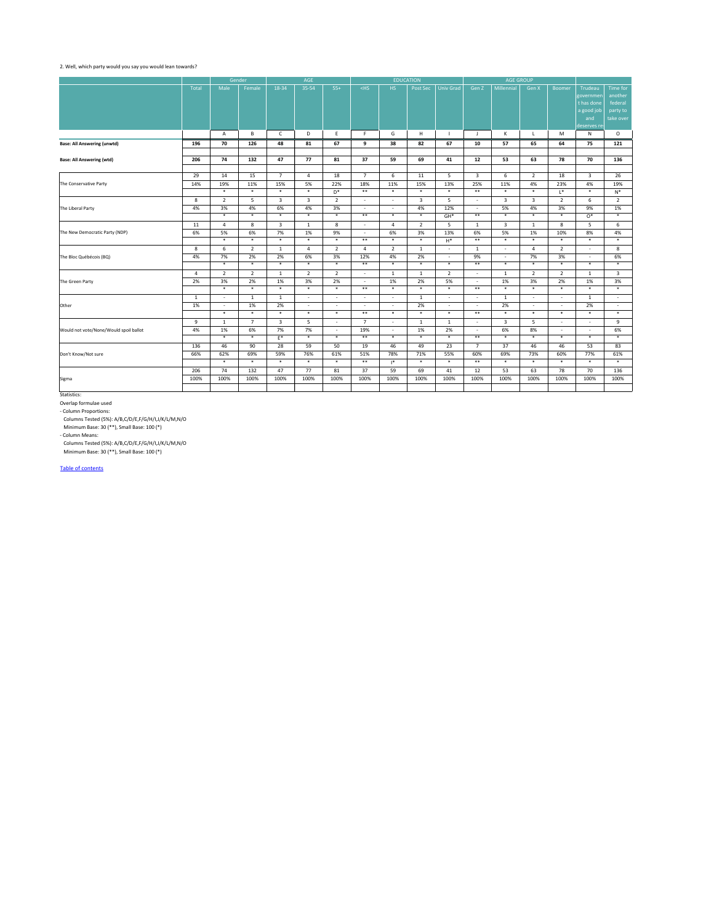|                                        |                |                          | Gender         |                | AGE                      |                          |                          |                          | <b>EDUCATION</b> |                          |                          | <b>AGE GROUP</b> |                          |                          |                          |                |
|----------------------------------------|----------------|--------------------------|----------------|----------------|--------------------------|--------------------------|--------------------------|--------------------------|------------------|--------------------------|--------------------------|------------------|--------------------------|--------------------------|--------------------------|----------------|
|                                        | Total          | Male                     | Female         | 18-34          | 35-54                    | $55+$                    | $<$ HS                   | HS                       | Post Sec         | Univ Grad                | Gen Z                    | Millennial       | Gen X                    | <b>Boomer</b>            | Trudeau                  | Time for       |
|                                        |                |                          |                |                |                          |                          |                          |                          |                  |                          |                          |                  |                          |                          | governmen                | another        |
|                                        |                |                          |                |                |                          |                          |                          |                          |                  |                          |                          |                  |                          |                          | t has done               | federal        |
|                                        |                |                          |                |                |                          |                          |                          |                          |                  |                          |                          |                  |                          |                          | a good job               | party to       |
|                                        |                |                          |                |                |                          |                          |                          |                          |                  |                          |                          |                  |                          |                          | and                      | take over      |
|                                        |                |                          |                |                |                          |                          |                          |                          |                  |                          |                          |                  |                          |                          | deserves re              |                |
|                                        |                | A                        | B              | $\mathsf{C}$   | D                        | E.                       | F.                       | G                        | H                |                          | J                        | K                |                          | M                        | N                        | $\circ$        |
| <b>Base: All Answering (unwtd)</b>     | 196            | 70                       | 126            | 48             | 81                       | 67                       | 9                        | 38                       | 82               | 67                       | 10                       | 57               | 65                       | 64                       | 75                       | 121            |
|                                        |                |                          |                |                |                          |                          |                          |                          |                  |                          |                          |                  |                          |                          |                          |                |
| <b>Base: All Answering (wtd)</b>       | 206            | 74                       | 132            | 47             | 77                       | 81                       | 37                       | 59                       | 69               | 41                       | 12                       | 53               | 63                       | 78                       | 70                       | 136            |
|                                        |                |                          |                |                |                          |                          |                          |                          |                  |                          |                          |                  |                          |                          |                          |                |
|                                        | 29             | 14                       | 15             | $\overline{7}$ | $\overline{4}$           | 18                       | $\overline{7}$           | 6                        | 11               | 5 <sup>5</sup>           | $\mathbf{3}$             | 6                | $2^{\circ}$              | 18                       | $\overline{3}$           | 26             |
| The Conservative Party                 | 14%            | 19%                      | 11%            | 15%            | 5%                       | 22%                      | 18%                      | 11%                      | 15%              | 13%                      | 25%                      | 11%              | 4%                       | 23%                      | 4%                       | 19%            |
|                                        |                | $\ast$                   | $\ast$         | $\ast$         | $\ast$                   | $\mathsf{D}^{*}$         | $***$                    | $\ast$                   | $\ast$           | $\ast$                   | $***$                    | $\ast$           | $\ast$                   | $L^*$                    | $\ast$                   | $N^*$          |
|                                        | 8              | $\overline{2}$           | $5\phantom{.}$ | $\mathbf{3}$   | $\overline{3}$           | $2^{\circ}$              | $\blacksquare$           | $\sim$                   | $\mathbf{3}$     | 5 <sup>1</sup>           | $\overline{a}$           | $\overline{3}$   | $\mathbf{3}$             | $\overline{2}$           | 6                        | $2^{\circ}$    |
| The Liberal Party                      | 4%             | 3%                       | 4%             | 6%             | 4%                       | 3%                       | $\overline{\phantom{a}}$ | $\overline{\phantom{a}}$ | 4%               | 12%                      | $\overline{\phantom{a}}$ | 5%               | 4%                       | 3%                       | 9%                       | 1%             |
|                                        |                | $\ast$                   | $\ast$         | $\ast$         | $\ast$                   | $\ast$                   | $***$                    | $\ast$                   | $\ast$           | $GH*$                    | $***$                    | $\ast$           | $\ast$                   | $\ast$                   | $O^*$                    | $\ast$         |
|                                        | 11             | $\overline{4}$           | 8              | $\mathbf{3}$   | $\mathbf{1}$             | 8                        | $\overline{\phantom{a}}$ | 4                        | $\overline{2}$   | 5                        | $\mathbf{1}$             | $\mathbf{3}$     | 1                        | 8                        | 5                        | 6              |
| The New Democratic Party (NDP)         | 6%             | 5%                       | 6%             | 7%             | 1%                       | 9%                       | $\overline{\phantom{a}}$ | 6%                       | 3%               | 13%                      | 6%                       | 5%               | 1%                       | 10%                      | 8%                       | 4%             |
|                                        |                | $\ast$                   | $\ast$         | $\ast$         | $\ast$                   | $\ast$                   | $***$                    | $\ast$                   | $\ast$           | $H^*$                    | $***$                    | $\ast$           | $\ast$                   | $\ast$                   | $\ast$                   | $\ast$         |
|                                        | 8              | 6                        | $\overline{2}$ | $\mathbf{1}$   | $\overline{4}$           | $\overline{2}$           | 4                        | $\overline{2}$           | $\mathbf{1}$     | $\sim$                   | $\mathbf{1}$             | $\sim$           | $\overline{4}$           | $\overline{2}$           | $\overline{\phantom{a}}$ | 8              |
| The Bloc Québécois (BQ)                | 4%             | 7%                       | 2%             | 2%             | 6%                       | 3%                       | 12%                      | 4%                       | 2%               | $\sim$                   | 9%                       | $\sim$           | 7%                       | 3%                       | $\overline{\phantom{a}}$ | 6%             |
|                                        |                | $\ast$                   | $\ast$         | $\ast$         | $\ast$                   | $\ast$                   | $***$                    | $\ast$                   | $\ast$           | $\ast$                   | $***$                    | $\ast$           | $\ast$                   | $\ast$                   | $\ast$                   | $\ast$         |
|                                        | $\overline{4}$ | $\overline{2}$           | $\overline{2}$ | $\mathbf{1}$   | $\overline{2}$           | $\overline{2}$           | $\blacksquare$           | 1                        | 1                | $\overline{2}$           | $\sim$                   | 1                | $\overline{2}$           | $\overline{2}$           | $\mathbf{1}$             | $\overline{3}$ |
| The Green Party                        | 2%             | 3%                       | 2%             | 1%             | 3%                       | 2%                       | $\overline{\phantom{a}}$ | 1%                       | 2%               | 5%                       | $\overline{\phantom{a}}$ | 1%               | 3%                       | 2%                       | 1%                       | 3%             |
|                                        |                | $\ast$                   | $\ast$         | $\ast$         | $\ast$                   | $\ast$                   | $***$                    | $\ast$                   | $\ast$           | $\ast$                   | $***$                    | $\ast$           | $\ast$                   | $\ast$                   | $\ast$                   | $\ast$         |
|                                        | $\mathbf{1}$   | $\overline{\phantom{a}}$ | $\mathbf{1}$   | $\mathbf{1}$   | $\sim$                   | $\overline{\phantom{a}}$ | $\overline{\phantom{a}}$ | $\overline{\phantom{a}}$ | $\mathbf{1}$     | $\overline{\phantom{a}}$ | $\overline{\phantom{a}}$ | $\mathbf{1}$     | $\overline{\phantom{a}}$ | $\overline{\phantom{a}}$ | $\mathbf{1}$             | $\sim$         |
| Other                                  | 1%             | $\overline{\phantom{a}}$ | 1%             | 2%             | $\overline{\phantom{a}}$ | $\sim$                   | $\overline{\phantom{a}}$ | $\overline{\phantom{a}}$ | 2%               | $\sim$                   | $\overline{a}$           | 2%               | $\overline{\phantom{a}}$ | $\sim$                   | 2%                       | $\sim$         |
|                                        |                | $\ast$                   | $\ast$         | $\ast$         | $\ast$                   | $\ast$                   | $***$                    | $\ast$                   | $\ast$           | $\ast$                   | $***$                    | $\ast$           | $\ast$                   | $\ast$                   | $\ast$                   | $\ast$         |
|                                        | 9              | 1                        | $\overline{7}$ | 3              | 5                        | $\overline{\phantom{a}}$ | $\overline{7}$           |                          | $\mathbf{1}$     | $\mathbf{1}$             | $\overline{\phantom{a}}$ | $\mathbf{3}$     | 5                        | $\overline{\phantom{a}}$ | $\overline{\phantom{a}}$ | 9              |
| Would not vote/None/Would spoil ballot | 4%             | 1%                       | 6%             | 7%             | 7%                       | $\sim$                   | 19%                      | $\overline{\phantom{a}}$ | 1%               | 2%                       | $\sim$                   | 6%               | 8%                       | $\sim$                   | $\sim$                   | 6%             |
|                                        |                | $\ast$                   | $\ast$         | $E^*$          | $\ast$                   | $\ast$                   | $***$                    | $\ast$                   | $\ast$           | $\ast$                   | $***$                    | $\ast$           | $\ast$                   | $\ast$                   | $\ast$                   | $\ast$         |
|                                        | 136            | 46                       | 90             | 28             | 59                       | 50                       | 19                       | 46                       | 49               | 23                       | $\overline{7}$           | 37               | 46                       | 46                       | 53                       | 83             |
| Don't Know/Not sure                    | 66%            | 62%                      | 69%            | 59%            | 76%                      | 61%                      | 51%                      | 78%                      | 71%              | 55%                      | 60%                      | 69%              | 73%                      | 60%                      | 77%                      | 61%            |
|                                        |                | $\ast$                   | $\ast$         | $\ast$         | $\ast$                   | $\ast$                   | $***$                    | $\mathsf{I}^*$           | $\ast$           | $\ast$                   | $***$                    | $\ast$           | $\ast$                   | $\ast$                   | $\ast$                   | $\ast$         |
|                                        | 206            | 74                       | 132            | 47             | 77                       | 81                       | 37                       | 59                       | 69               | 41                       | 12                       | 53               | 63                       | 78                       | 70                       | 136            |
| Sigma                                  | 100%           | 100%                     | 100%           | 100%           | 100%                     | 100%                     | 100%                     | 100%                     | 100%             | 100%                     | 100%                     | 100%             | 100%                     | 100%                     | 100%                     | 100%           |
|                                        |                |                          |                |                |                          |                          |                          |                          |                  |                          |                          |                  |                          |                          |                          |                |
|                                        |                |                          |                |                |                          |                          |                          |                          |                  |                          |                          |                  |                          |                          |                          |                |

Columns Tested (5%): A/B,C/D/E,F/G/H/I,J/K/L/M,N/O

Minimum Base: 30 (\*\*), Small Base: 100 (\*)

Overlap formulae used

- Column Proportions:

Columns Tested (5%): A/B,C/D/E,F/G/H/I,J/K/L/M,N/O

Minimum Base: 30 (\*\*), Small Base: 100 (\*)

- Column Means:

Statistics:

## 2. Well, which party would you say you would lean towards?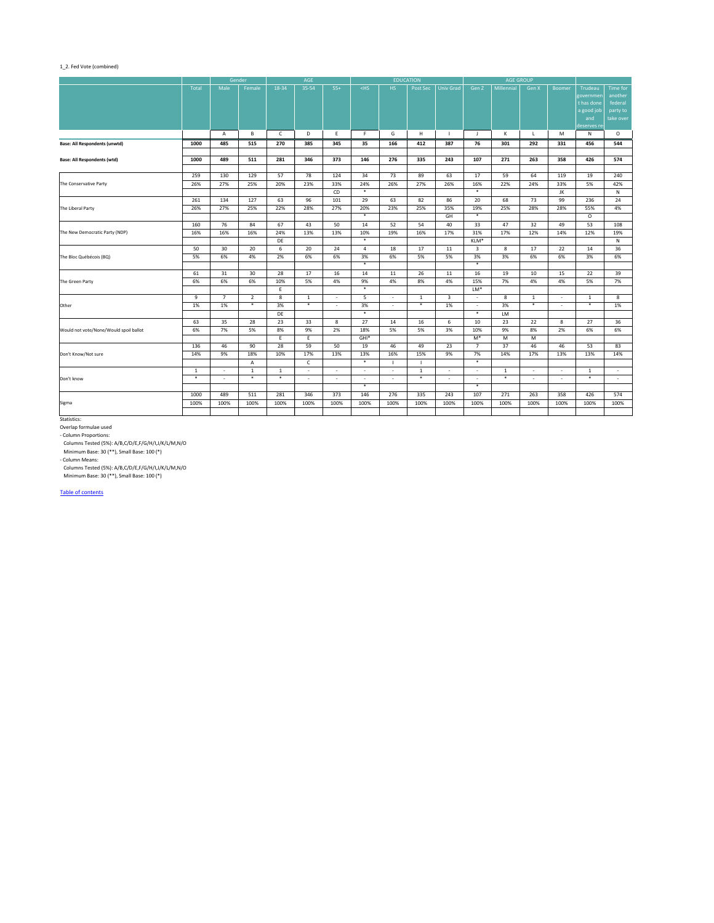|                                        |              |                | Gender       |              | AGE          |                          |                          |                          | <b>EDUCATION</b> |                          |                | <b>AGE GROUP</b> |              |                          |              |                          |
|----------------------------------------|--------------|----------------|--------------|--------------|--------------|--------------------------|--------------------------|--------------------------|------------------|--------------------------|----------------|------------------|--------------|--------------------------|--------------|--------------------------|
|                                        | Total        | Male           | Female       | 18-34        | 35-54        | $55+$                    | $<$ HS                   | HS                       | Post Sec         | <b>Univ Grad</b>         | Gen Z          | Millennial       | Gen X        | <b>Boomer</b>            | Trudeau      | Time for                 |
|                                        |              |                |              |              |              |                          |                          |                          |                  |                          |                |                  |              |                          | governmen    | another                  |
|                                        |              |                |              |              |              |                          |                          |                          |                  |                          |                |                  |              |                          | t has done   | federal                  |
|                                        |              |                |              |              |              |                          |                          |                          |                  |                          |                |                  |              |                          | a good job   | party to                 |
|                                        |              |                |              |              |              |                          |                          |                          |                  |                          |                |                  |              |                          | and          | take over                |
|                                        |              |                |              |              |              |                          |                          |                          |                  |                          |                |                  |              |                          | deserves re  |                          |
|                                        |              | $\mathsf{A}$   | B            | $\mathsf{C}$ | D            | E                        | F.                       | G                        | H                |                          | J              | K                |              | M                        | N            | $\circ$                  |
| <b>Base: All Respondents (unwtd)</b>   | 1000         | 485            | 515          | 270          | 385          | 345                      | 35                       | 166                      | 412              | 387                      | 76             | 301              | 292          | 331                      | 456          | 544                      |
| <b>Base: All Respondents (wtd)</b>     | 1000         | 489            | 511          | 281          | 346          | 373                      | 146                      | 276                      | 335              | 243                      | 107            | 271              | 263          | 358                      | 426          | 574                      |
|                                        |              |                |              |              |              |                          |                          |                          |                  |                          |                |                  |              |                          |              |                          |
|                                        | 259          | 130            | 129          | 57           | 78           | 124                      | 34                       | 73                       | 89               | 63                       | 17             | 59               | 64           | 119                      | 19           | 240                      |
| The Conservative Party                 | 26%          | 27%            | 25%          | 20%          | 23%          | 33%                      | 24%                      | 26%                      | 27%              | 26%                      | 16%            | 22%              | 24%          | 33%                      | 5%           | 42%                      |
|                                        |              |                |              |              |              | CD                       | $\ast$                   |                          |                  |                          | $\ast$         |                  |              | JK                       |              | N                        |
|                                        | 261          | 134            | 127          | 63           | 96           | 101                      | 29                       | 63                       | 82               | 86                       | 20             | 68               | 73           | 99                       | 236          | 24                       |
| The Liberal Party                      | 26%          | 27%            | 25%          | 22%          | 28%          | 27%                      | 20%                      | 23%                      | 25%              | 35%                      | 19%            | 25%              | 28%          | 28%                      | 55%          | 4%                       |
|                                        |              |                |              |              |              |                          | $\ast$                   |                          |                  | GH                       | $\ast$         |                  |              |                          | $\circ$      |                          |
|                                        | 160          | 76             | 84           | 67           | 43           | 50                       | 14                       | 52                       | 54               | 40                       | 33             | 47               | 32           | 49                       | 53           | 108                      |
|                                        | 16%          | 16%            | 16%          | 24%          | 13%          | 13%                      | 10%                      | 19%                      | 16%              | 17%                      | 31%            | 17%              | 12%          | 14%                      | 12%          | 19%                      |
| The New Democratic Party (NDP)         |              |                |              | DE           |              |                          | $\ast$                   |                          |                  |                          | $KLM*$         |                  |              |                          |              |                          |
|                                        |              |                |              |              |              |                          |                          |                          |                  |                          |                |                  |              |                          |              | ${\sf N}$                |
|                                        | 50           | 30             | 20           | 6            | 20           | 24                       | 4                        | 18                       | 17               | 11                       | 3              | 8                | 17           | 22                       | 14           | 36                       |
| The Bloc Québécois (BQ)                | 5%           | 6%             | 4%           | 2%           | 6%           | 6%                       | 3%<br>$\ast$             | 6%                       | 5%               | 5%                       | 3%<br>$\ast$   | 3%               | 6%           | 6%                       | 3%           | 6%                       |
|                                        |              |                |              |              |              |                          |                          |                          |                  |                          |                |                  |              |                          |              |                          |
|                                        | 61           | 31             | 30           | 28           | 17           | 16                       | 14                       | 11                       | 26               | 11                       | 16             | 19               | 10           | 15                       | 22           | 39                       |
| The Green Party                        | 6%           | 6%             | 6%           | 10%          | 5%           | 4%                       | 9%<br>$\ast$             | 4%                       | 8%               | 4%                       | 15%            | 7%               | 4%           | 4%                       | 5%           | 7%                       |
|                                        |              |                |              | $E_{\perp}$  |              |                          |                          |                          |                  |                          | $LM*$          |                  |              |                          |              |                          |
|                                        | 9            | $\overline{7}$ | $2^{\circ}$  | 8            | 1            | $\sim$                   | 5                        | $\overline{\phantom{a}}$ | 1                | $\mathbf{3}$             | $\sim$         | 8                | $\mathbf{1}$ | $\overline{\phantom{a}}$ | $\mathbf{1}$ | 8                        |
| Other                                  | 1%           | 1%             | $\ast$       | 3%           | $\ast$       | $\overline{\phantom{a}}$ | 3%                       | $\overline{\phantom{a}}$ | $\ast$           | 1%                       | $\sim$         | 3%               | $\ast$       | $\overline{\phantom{a}}$ | $\ast$       | 1%                       |
|                                        |              |                |              | DE           |              |                          | $\ast$                   |                          |                  |                          | $\ast$         | LM               |              |                          |              |                          |
|                                        | 63           | 35             | 28           | 23           | 33           | 8                        | 27                       | 14                       | 16               | 6                        | 10             | 23               | 22           | 8                        | 27           | 36                       |
| Would not vote/None/Would spoil ballot | 6%           | 7%             | 5%           | 8%           | 9%           | 2%                       | 18%                      | 5%                       | 5%               | 3%                       | 10%            | 9%               | 8%           | 2%                       | 6%           | 6%                       |
|                                        |              |                |              | E            | E            |                          | $GHI^*$                  |                          |                  |                          | $\mathsf{M}^*$ | M                | M            |                          |              |                          |
|                                        | 136          | 46             | 90           | 28           | 59           | 50                       | 19                       | 46                       | 49               | 23                       | $\overline{7}$ | 37               | 46           | 46                       | 53           | 83                       |
| Don't Know/Not sure                    | 14%          | 9%             | 18%          | 10%          | 17%          | 13%                      | 13%                      | 16%                      | 15%              | 9%                       | 7%             | 14%              | 17%          | 13%                      | 13%          | 14%                      |
|                                        |              |                | $\mathsf{A}$ |              | $\mathsf{C}$ |                          | $\ast$                   |                          | $\mathbf{I}$     |                          | $\ast$         |                  |              |                          |              |                          |
|                                        | $\mathbf{1}$ | $\sim$         | $\mathbf{1}$ | $\mathbf{1}$ | $\sim$       | $\sim$                   | $\blacksquare$           | $\overline{\phantom{a}}$ | 1                | $\overline{\phantom{a}}$ | $\sim$         | 1                | $\sim$       | $\overline{\phantom{a}}$ | $\mathbf{1}$ | $\sim$                   |
| Don't know                             | $\ast$       | $\sim$         | $\ast$       | $\ast$       | $\sim$       | $\sim$                   | $\overline{\phantom{a}}$ | $\overline{\phantom{a}}$ | $\ast$           | $\overline{\phantom{a}}$ | $\sim$         | $\ast$           | $\sim$       | $\overline{\phantom{a}}$ | $\ast$       | $\overline{\phantom{a}}$ |
|                                        |              |                |              |              |              |                          | $\ast$                   |                          |                  |                          | $\ast$         |                  |              |                          |              |                          |
|                                        | 1000         | 489            | 511          | 281          | 346          | 373                      | 146                      | 276                      | 335              | 243                      | 107            | 271              | 263          | 358                      | 426          | 574                      |
| Sigma                                  | 100%         | 100%           | 100%         | 100%         | 100%         | 100%                     | 100%                     | 100%                     | 100%             | 100%                     | 100%           | 100%             | 100%         | 100%                     | 100%         | 100%                     |
|                                        |              |                |              |              |              |                          |                          |                          |                  |                          |                |                  |              |                          |              |                          |

- Column Means:

Columns Tested (5%): A/B,C/D/E,F/G/H/I,J/K/L/M,N/O

Minimum Base: 30 (\*\*), Small Base: 100 (\*)

Statistics:

Overlap formulae used

- Column Proportions:

Columns Tested (5%): A/B,C/D/E,F/G/H/I,J/K/L/M,N/O

Minimum Base: 30 (\*\*), Small Base: 100 (\*)

## 1\_2. Fed Vote (combined)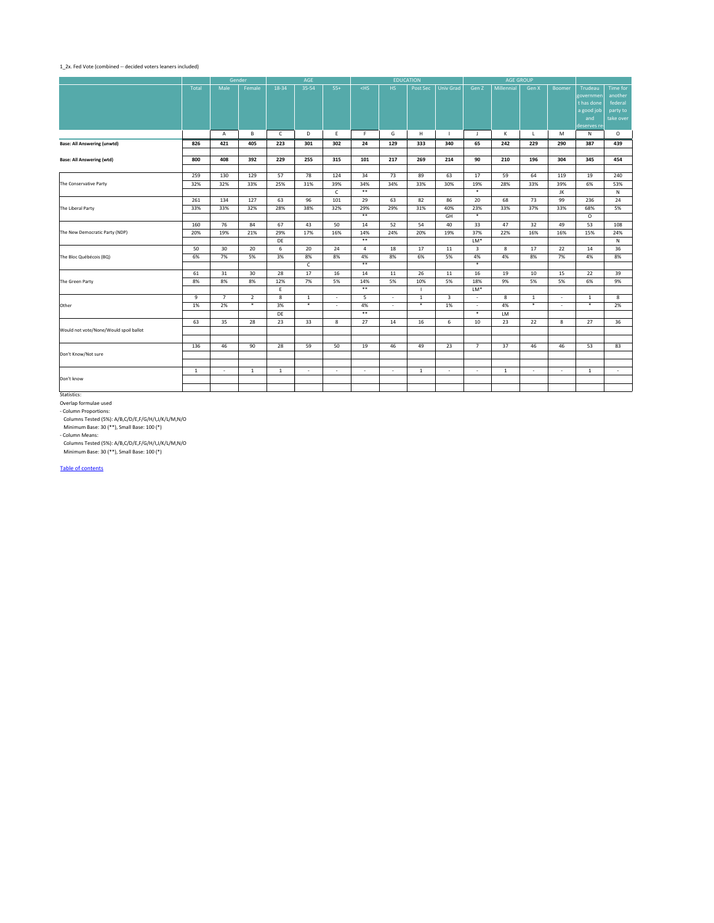|                                        |              |                | Gender         |              | AGE          |                          |                          |                          | <b>EDUCATION</b> |                  |                          | <b>AGE GROUP</b> |              |                          |              |           |
|----------------------------------------|--------------|----------------|----------------|--------------|--------------|--------------------------|--------------------------|--------------------------|------------------|------------------|--------------------------|------------------|--------------|--------------------------|--------------|-----------|
|                                        | Total        | Male           | Female         | 18-34        | 35-54        | $55+$                    | $<$ HS                   | HS                       | Post Sec         | <b>Univ Grad</b> | Gen Z                    | Millennial       | Gen X        | <b>Boomer</b>            | Trudeau      | Time for  |
|                                        |              |                |                |              |              |                          |                          |                          |                  |                  |                          |                  |              |                          | governmen    | another   |
|                                        |              |                |                |              |              |                          |                          |                          |                  |                  |                          |                  |              |                          | t has done   | federal   |
|                                        |              |                |                |              |              |                          |                          |                          |                  |                  |                          |                  |              |                          | a good job   | party to  |
|                                        |              |                |                |              |              |                          |                          |                          |                  |                  |                          |                  |              |                          | and          | take over |
|                                        |              |                |                |              |              |                          |                          |                          |                  |                  |                          |                  |              |                          | deserves re  |           |
|                                        |              | $\mathsf{A}$   | B              | $\mathsf{C}$ | D            | E                        | F.                       | G                        | H                |                  | $\mathsf{J}$             | K                |              | M                        | N            | $\circ$   |
| <b>Base: All Answering (unwtd)</b>     | 826          | 421            | 405            | 223          | 301          | 302                      | 24                       | 129                      | 333              | 340              | 65                       | 242              | 229          | 290                      | 387          | 439       |
|                                        |              |                |                |              |              |                          |                          |                          |                  |                  |                          |                  |              |                          |              |           |
| <b>Base: All Answering (wtd)</b>       | 800          | 408            | 392            | 229          | 255          | 315                      | 101                      | 217                      | 269              | 214              | 90                       | 210              | 196          | 304                      | 345          | 454       |
|                                        |              |                |                |              |              |                          |                          |                          |                  |                  |                          |                  |              |                          |              |           |
|                                        | 259          | 130            | 129            | 57           | 78           | 124                      | 34                       | 73                       | 89               | 63               | 17                       | 59               | 64           | 119                      | 19           | 240       |
| The Conservative Party                 | 32%          | 32%            | 33%            | 25%          | 31%          | 39%                      | 34%                      | 34%                      | 33%              | 30%              | 19%                      | 28%              | 33%          | 39%                      | 6%           | 53%       |
|                                        |              |                |                |              |              | $\mathsf{C}$             | $***$                    |                          |                  |                  | $\ast$                   |                  |              | JK                       |              | N         |
|                                        | 261          | 134            | 127            | 63           | 96           | 101                      | 29                       | 63                       | 82               | 86               | 20                       | 68               | 73           | 99                       | 236          | 24        |
| The Liberal Party                      | 33%          | 33%            | 32%            | 28%          | 38%          | 32%                      | 29%                      | 29%                      | 31%              | 40%              | 23%                      | 33%              | 37%          | 33%                      | 68%          | 5%        |
|                                        |              |                |                |              |              |                          | $***$                    |                          |                  | GH               | $\ast$                   |                  |              |                          | $\circ$      |           |
|                                        | 160          | 76             | 84             | 67           | 43           | 50                       | 14                       | 52                       | 54               | 40               | 33                       | 47               | 32           | 49                       | 53           | 108       |
| The New Democratic Party (NDP)         | 20%          | 19%            | 21%            | 29%          | 17%          | 16%                      | 14%                      | 24%                      | 20%              | 19%              | 37%                      | 22%              | 16%          | 16%                      | 15%          | 24%       |
|                                        |              |                |                | DE           |              |                          | $***$                    |                          |                  |                  | $LM*$                    |                  |              |                          |              | N         |
|                                        | 50           | 30             | 20             | 6            | 20           | 24                       | 4                        | 18                       | 17               | 11               | $\mathbf{3}$             | 8                | 17           | 22                       | 14           | 36        |
| The Bloc Québécois (BQ)                | 6%           | 7%             | 5%             | 3%           | 8%           | 8%                       | 4%                       | 8%                       | 6%               | 5%               | 4%                       | 4%               | 8%           | 7%                       | 4%           | 8%        |
|                                        |              |                |                |              | $\mathsf{C}$ |                          | $***$                    |                          |                  |                  | $\ast$                   |                  |              |                          |              |           |
|                                        | 61           | 31             | 30             | 28           | 17           | 16                       | 14                       | 11                       | 26               | 11               | 16                       | 19               | 10           | 15                       | 22           | 39        |
| The Green Party                        | 8%           | 8%             | 8%             | 12%          | 7%           | 5%                       | 14%                      | 5%                       | 10%              | 5%               | 18%                      | 9%               | 5%           | 5%                       | 6%           | 9%        |
|                                        |              |                |                | E.           |              |                          | $***$                    |                          |                  |                  | $LM*$                    |                  |              |                          |              |           |
|                                        | 9            | $\overline{7}$ | $\overline{2}$ | 8            | $\mathbf{1}$ | $\sim$                   | 5                        | $\overline{\phantom{a}}$ | $\mathbf{1}$     | $\overline{3}$   | $\overline{a}$           | 8                | $\mathbf{1}$ | $\sim$                   | $\mathbf{1}$ | 8         |
| Other                                  | 1%           | 2%             | $\ast$         | 3%           | $\ast$       | $\overline{\phantom{a}}$ | 4%                       | $\overline{\phantom{a}}$ | $\ast$           | 1%               | $\overline{\phantom{a}}$ | 4%               | $\ast$       | $\overline{\phantom{a}}$ | $\ast$       | 2%        |
|                                        |              |                |                | DE           |              |                          | $***$                    |                          |                  |                  | $\ast$                   | LM               |              |                          |              |           |
|                                        | 63           | 35             | 28             | 23           | 33           | 8                        | 27                       | 14                       | 16               | 6                | 10                       | 23               | 22           | 8                        | 27           | 36        |
| Would not vote/None/Would spoil ballot |              |                |                |              |              |                          |                          |                          |                  |                  |                          |                  |              |                          |              |           |
|                                        |              |                |                |              |              |                          |                          |                          |                  |                  |                          |                  |              |                          |              |           |
|                                        | 136          | 46             | 90             | 28           | 59           | 50                       | 19                       | 46                       | 49               | 23               | $\overline{7}$           | 37               | 46           | 46                       | 53           | 83        |
| Don't Know/Not sure                    |              |                |                |              |              |                          |                          |                          |                  |                  |                          |                  |              |                          |              |           |
|                                        |              |                |                |              |              |                          |                          |                          |                  |                  |                          |                  |              |                          |              |           |
|                                        | $\mathbf{1}$ | $\sim$         | $\mathbf{1}$   | $\mathbf{1}$ | $\sim$       | $\sim$                   | $\overline{\phantom{a}}$ | $\sim$                   | $\mathbf{1}$     | $\sim$           | $\overline{a}$           | 1                | $\sim$       | $\overline{\phantom{a}}$ | $\mathbf{1}$ | $\sim$    |
| Don't know                             |              |                |                |              |              |                          |                          |                          |                  |                  |                          |                  |              |                          |              |           |
|                                        |              |                |                |              |              |                          |                          |                          |                  |                  |                          |                  |              |                          |              |           |

Columns Tested (5%): A/B,C/D/E,F/G/H/I,J/K/L/M,N/O

Minimum Base: 30 (\*\*), Small Base: 100 (\*)

Overlap formulae used

- Column Proportions:

Columns Tested (5%): A/B,C/D/E,F/G/H/I,J/K/L/M,N/O

Minimum Base: 30 (\*\*), Small Base: 100 (\*)

- Column Means:

Statistics:

## 1\_2x. Fed Vote (combined -- decided voters leaners included)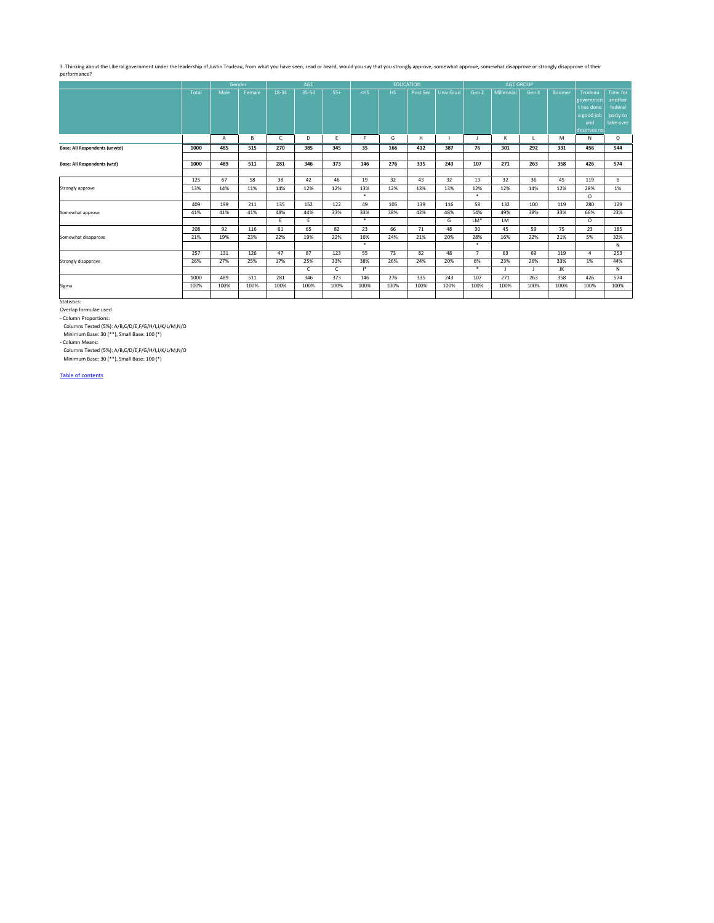3. Thinking about the Liberal government under the leadership of Justin Trudeau, from what you have seen, read or heard, would you say that you strongly approve, somewhat approve, somewhat disapprove or strongly disapprove performance?

|                                      | Gender<br>Total<br>Male |      |        |              | AGE          |              |                |      | <b>EDUCATION</b> |                  |                | <b>AGE GROUP</b> |       |               |                             |                     |
|--------------------------------------|-------------------------|------|--------|--------------|--------------|--------------|----------------|------|------------------|------------------|----------------|------------------|-------|---------------|-----------------------------|---------------------|
|                                      |                         |      | Female | 18-34        | 35-54        | $55+$        | $<$ HS         | HS   | Post Sec         | <b>Univ Grad</b> | Gen Z          | Millennial       | Gen X | <b>Boomer</b> | <b>Trudeau</b><br>governmen | Time for<br>another |
|                                      |                         |      |        |              |              |              |                |      |                  |                  |                |                  |       |               | t has done                  | federal             |
|                                      |                         |      |        |              |              |              |                |      |                  |                  |                |                  |       |               | a good job                  | party to            |
|                                      |                         |      |        |              |              |              |                |      |                  |                  |                |                  |       |               | and                         | take over           |
|                                      |                         |      |        |              |              |              |                |      |                  |                  |                |                  |       |               | deserves re                 |                     |
|                                      |                         | A    | B      | $\mathsf{C}$ | D            | E.           | с              | G    | H                |                  |                | K                |       | M             | N                           | $\circ$             |
| <b>Base: All Respondents (unwtd)</b> | 1000                    | 485  | 515    | 270          | 385          | 345          | 35             | 166  | 412              | 387              | 76             | 301              | 292   | 331           | 456                         | 544                 |
| <b>Base: All Respondents (wtd)</b>   | 1000                    | 489  | 511    | 281          | 346          | 373          | 146            | 276  | 335              | 243              | 107            | 271              | 263   | 358           | 426                         | 574                 |
|                                      |                         |      |        |              |              |              |                |      |                  |                  |                |                  |       |               |                             |                     |
|                                      | 125                     | 67   | 58     | 38           | 42           | 46           | 19             | 32   | 43               | 32               | 13             | 32               | 36    | 45            | 119                         | 6                   |
| Strongly approve                     | 13%                     | 14%  | 11%    | 14%          | 12%          | 12%          | 13%            | 12%  | 13%              | 13%              | 12%            | 12%              | 14%   | 12%           | 28%                         | 1%                  |
|                                      |                         |      |        |              |              |              | $\ast$         |      |                  |                  | $\ast$         |                  |       |               | $\mathsf{O}$                |                     |
|                                      | 409                     | 199  | 211    | 135          | 152          | 122          | 49             | 105  | 139              | 116              | 58             | 132              | 100   | 119           | 280                         | 129                 |
| Somewhat approve                     | 41%                     | 41%  | 41%    | 48%          | 44%          | 33%          | 33%            | 38%  | 42%              | 48%              | 54%            | 49%              | 38%   | 33%           | 66%                         | 23%                 |
|                                      |                         |      |        | E            | E            |              | $\ast$         |      |                  | G                | LM*            | LM               |       |               | $\circ$                     |                     |
|                                      | 208                     | 92   | 116    | 61           | 65           | 82           | 23             | 66   | 71               | 48               | 30             | 45               | 59    | 75            | 23                          | 185                 |
| Somewhat disapprove                  | 21%                     | 19%  | 23%    | 22%          | 19%          | 22%          | 16%            | 24%  | 21%              | 20%              | 28%            | 16%              | 22%   | 21%           | 5%                          | 32%                 |
|                                      |                         |      |        |              |              |              | $\ast$         |      |                  |                  | $\ast$         |                  |       |               |                             | N                   |
|                                      | 257                     | 131  | 126    | 47           | 87           | 123          | 55             | 73   | 82               | 48               | $\overline{7}$ | 63               | 69    | 119           | $\overline{4}$              | 253                 |
| Strongly disapprove                  | 26%                     | 27%  | 25%    | 17%          | 25%          | 33%          | 38%            | 26%  | 24%              | 20%              | 6%             | 23%              | 26%   | 33%           | 1%                          | 44%                 |
|                                      |                         |      |        |              | $\mathsf{C}$ | $\mathsf{C}$ | $\mathsf{I}^*$ |      |                  |                  | $\ast$         | $\mathsf{J}$     |       | JK            |                             | N                   |
|                                      | 1000                    | 489  | 511    | 281          | 346          | 373          | 146            | 276  | 335              | 243              | 107            | 271              | 263   | 358           | 426                         | 574                 |
| Sigma                                | 100%                    | 100% | 100%   | 100%         | 100%         | 100%         | 100%           | 100% | 100%             | 100%             | 100%           | 100%             | 100%  | 100%          | 100%                        | 100%                |
|                                      |                         |      |        |              |              |              |                |      |                  |                  |                |                  |       |               |                             |                     |

Table of contents

- Column Means:

Columns Tested (5%): A/B,C/D/E,F/G/H/I,J/K/L/M,N/O

Minimum Base: 30 (\*\*), Small Base: 100 (\*)

Statistics:

Overlap formulae used

- Column Proportions:

Columns Tested (5%): A/B,C/D/E,F/G/H/I,J/K/L/M,N/O

Minimum Base: 30 (\*\*), Small Base: 100 (\*)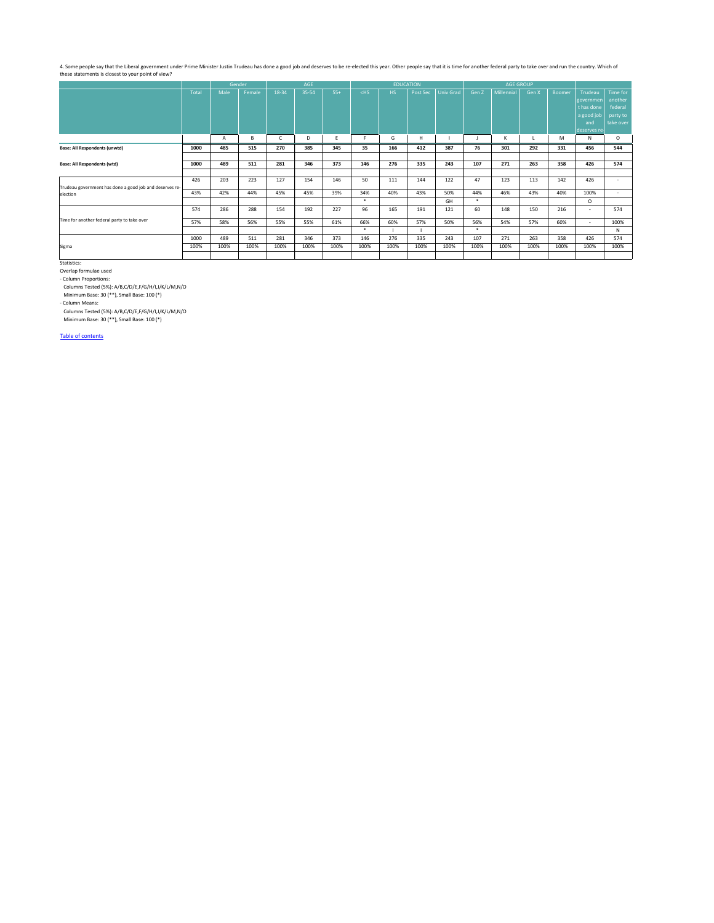4. Some people say that the Liberal government under Prime Minister Justin Trudeau has done a good job and deserves to be re-elected this year. Other people say that it is time for another federal party to take over and ru these statements is closest to your point of view?

|                                                         |       |      | Gender<br>Female |              | <b>AGE</b> |       |        |      | <b>EDUCATION</b> |           |        | <b>AGE GROUP</b> |       |        |                                 |                                  |
|---------------------------------------------------------|-------|------|------------------|--------------|------------|-------|--------|------|------------------|-----------|--------|------------------|-------|--------|---------------------------------|----------------------------------|
|                                                         | Total | Male |                  | 18-34        | 35-54      | $55+$ | $<$ HS | HS   | Post Sec         | Univ Grad | Gen Z  | Millennial       | Gen X | Boomer | Trudeau<br>governmen            | Time for<br>another              |
|                                                         |       |      |                  |              |            |       |        |      |                  |           |        |                  |       |        | t has done<br>a good job<br>and | federal<br>party to<br>take over |
|                                                         |       |      |                  |              |            |       |        |      |                  |           |        |                  |       |        | deserves re                     |                                  |
|                                                         |       | A    | B                | $\mathsf{C}$ | D          | E     | F.     | G    | H                |           |        | K                |       | M      | N                               | $\circ$                          |
| <b>Base: All Respondents (unwtd)</b>                    | 1000  | 485  | 515              | 270          | 385        | 345   | 35     | 166  | 412              | 387       | 76     | 301              | 292   | 331    | 456                             | 544                              |
|                                                         |       |      |                  |              |            |       |        |      |                  |           |        |                  |       |        |                                 |                                  |
| <b>Base: All Respondents (wtd)</b>                      | 1000  | 489  | 511              | 281          | 346        | 373   | 146    | 276  | 335              | 243       | 107    | 271              | 263   | 358    | 426                             | 574                              |
|                                                         |       |      |                  |              |            |       |        |      |                  |           |        |                  |       |        |                                 |                                  |
| Trudeau government has done a good job and deserves re- | 426   | 203  | 223              | 127          | 154        | 146   | 50     | 111  | 144              | 122       | 47     | 123              | 113   | 142    | 426                             | $\overline{\phantom{a}}$         |
| election                                                | 43%   | 42%  | 44%              | 45%          | 45%        | 39%   | 34%    | 40%  | 43%              | 50%       | 44%    | 46%              | 43%   | 40%    | 100%                            | $\overline{\phantom{a}}$         |
|                                                         |       |      |                  |              |            |       | $\ast$ |      |                  | GH        | $\ast$ |                  |       |        | $\circ$                         |                                  |
|                                                         | 574   | 286  | 288              | 154          | 192        | 227   | 96     | 165  | 191              | 121       | 60     | 148              | 150   | 216    | $\sim$                          | 574                              |
| Time for another federal party to take over             | 57%   | 58%  | 56%              | 55%          | 55%        | 61%   | 66%    | 60%  | 57%              | 50%       | 56%    | 54%              | 57%   | 60%    | $\overline{a}$                  | 100%                             |
|                                                         |       |      |                  |              |            |       | $\ast$ |      |                  |           | $\ast$ |                  |       |        |                                 | N                                |
|                                                         | 1000  | 489  | 511              | 281          | 346        | 373   | 146    | 276  | 335              | 243       | 107    | 271              | 263   | 358    | 426                             | 574                              |
| Sigma                                                   | 100%  | 100% | 100%             | 100%         | 100%       | 100%  | 100%   | 100% | 100%             | 100%      | 100%   | 100%             | 100%  | 100%   | 100%                            | 100%                             |
|                                                         |       |      |                  |              |            |       |        |      |                  |           |        |                  |       |        |                                 |                                  |

Statistics:

Table of contents

Minimum Base: 30 (\*\*), Small Base: 100 (\*)

- Column Proportions:

Columns Tested (5%): A/B,C/D/E,F/G/H/I,J/K/L/M,N/O

Minimum Base: 30 (\*\*), Small Base: 100 (\*)

- Column Means:

Columns Tested (5%): A/B,C/D/E,F/G/H/I,J/K/L/M,N/O

Overlap formulae used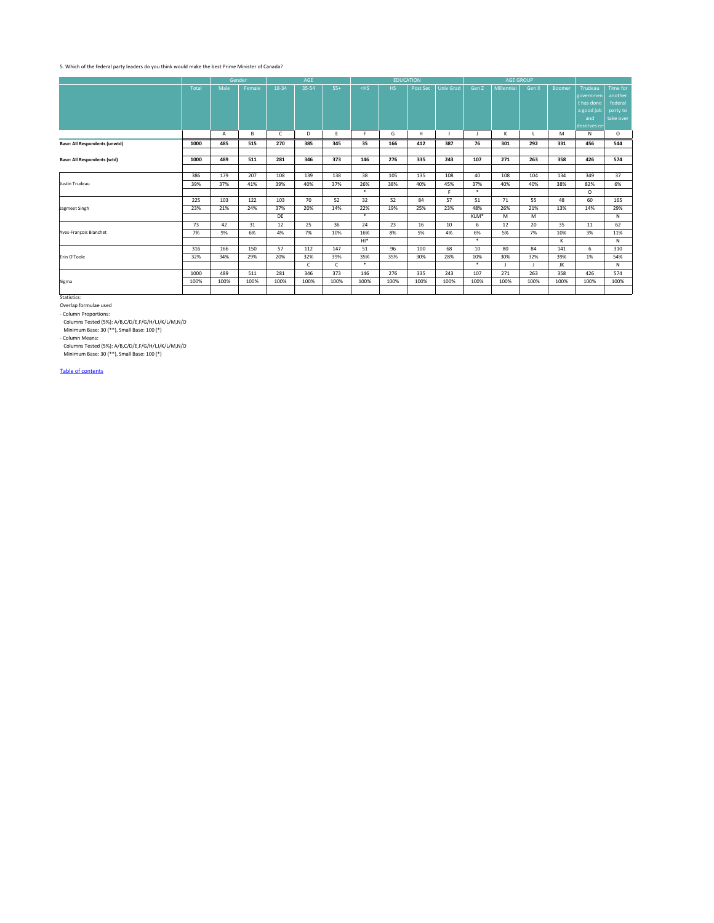|                                      |       | Gender |        | AGE<br>35-54<br>$55+$<br>18-34 |      |                 |        |      | <b>EDUCATION</b> |                  |              | <b>AGE GROUP</b> |       |               |             |              |
|--------------------------------------|-------|--------|--------|--------------------------------|------|-----------------|--------|------|------------------|------------------|--------------|------------------|-------|---------------|-------------|--------------|
|                                      | Total | Male   | Female |                                |      |                 | $<$ HS | HS   | Post Sec         | <b>Univ Grad</b> | Gen Z        | Millennial       | Gen X | <b>Boomer</b> | Trudeau     | Time for     |
|                                      |       |        |        |                                |      |                 |        |      |                  |                  |              |                  |       |               | governmen   | another      |
|                                      |       |        |        |                                |      |                 |        |      |                  |                  |              |                  |       |               | t has done  | federal      |
|                                      |       |        |        |                                |      |                 |        |      |                  |                  |              |                  |       |               | a good job  | party to     |
|                                      |       |        |        |                                |      |                 |        |      |                  |                  |              |                  |       |               | and         | take over    |
|                                      |       |        |        |                                |      |                 |        |      |                  |                  |              |                  |       |               | deserves re |              |
|                                      |       | A      | B      | $\mathsf{C}$                   | D    | $E_{\parallel}$ | F.     | G    | H                |                  | $\mathbf{I}$ | K                |       | M             | N           | $\circ$      |
| <b>Base: All Respondents (unwtd)</b> | 1000  | 485    | 515    | 270                            | 385  | 345             | 35     | 166  | 412              | 387              | 76           | 301              | 292   | 331           | 456         | 544          |
| <b>Base: All Respondents (wtd)</b>   | 1000  | 489    | 511    | 281                            | 346  | 373             | 146    | 276  | 335              | 243              | 107          | 271              | 263   | 358           | 426         | 574          |
|                                      |       |        |        |                                |      |                 |        |      |                  |                  |              |                  |       |               |             |              |
|                                      | 386   | 179    | 207    | 108                            | 139  | 138             | 38     | 105  | 135              | 108              | 40           | 108              | 104   | 134           | 349         | 37           |
| Justin Trudeau                       | 39%   | 37%    | 41%    | 39%                            | 40%  | 37%             | 26%    | 38%  | 40%              | 45%              | 37%          | 40%              | 40%   | 38%           | 82%         | 6%           |
|                                      |       |        |        |                                |      |                 | $\ast$ |      |                  | F.               | $\ast$       |                  |       |               | $\circ$     |              |
|                                      | 225   | 103    | 122    | 103                            | 70   | 52              | 32     | 52   | 84               | 57               | 51           | 71               | 55    | 48            | 60          | 165          |
| Jagmeet Singh                        | 23%   | 21%    | 24%    | 37%                            | 20%  | 14%             | 22%    | 19%  | 25%              | 23%              | 48%          | 26%              | 21%   | 13%           | 14%         | 29%          |
|                                      |       |        |        | DE                             |      |                 | $\ast$ |      |                  |                  | KLM*         | M                | M     |               |             | N            |
|                                      | 73    | 42     | 31     | 12                             | 25   | 36              | 24     | 23   | 16               | 10               | 6            | 12               | 20    | 35            | 11          | 62           |
| Yves-François Blanchet               | 7%    | 9%     | 6%     | 4%                             | 7%   | 10%             | 16%    | 8%   | 5%               | 4%               | 6%           | 5%               | 7%    | 10%           | 3%          | 11%          |
|                                      |       |        |        |                                |      |                 | $HI*$  |      |                  |                  | $\ast$       |                  |       | К             |             | $\mathsf{N}$ |
|                                      | 316   | 166    | 150    | 57                             | 112  | 147             | 51     | 96   | 100              | 68               | 10           | 80               | 84    | 141           | 6           | 310          |
| Erin O'Toole                         | 32%   | 34%    | 29%    | 20%                            | 32%  | 39%             | 35%    | 35%  | 30%              | 28%              | 10%          | 30%              | 32%   | 39%           | 1%          | 54%          |
|                                      |       |        |        |                                | C    | $\mathsf{C}$    | $\ast$ |      |                  |                  | $\ast$       | $\mathbf{I}$     |       | JK            |             | N            |
|                                      | 1000  | 489    | 511    | 281                            | 346  | 373             | 146    | 276  | 335              | 243              | 107          | 271              | 263   | 358           | 426         | 574          |
| Sigma                                | 100%  | 100%   | 100%   | 100%                           | 100% | 100%            | 100%   | 100% | 100%             | 100%             | 100%         | 100%             | 100%  | 100%          | 100%        | 100%         |
|                                      |       |        |        |                                |      |                 |        |      |                  |                  |              |                  |       |               |             |              |

- Column Means:

Columns Tested (5%): A/B,C/D/E,F/G/H/I,J/K/L/M,N/O

Minimum Base: 30 (\*\*), Small Base: 100 (\*)

Statistics:

Overlap formulae used

- Column Proportions:

Columns Tested (5%): A/B,C/D/E,F/G/H/I,J/K/L/M,N/O

Minimum Base: 30 (\*\*), Small Base: 100 (\*)

# 5. Which of the federal party leaders do you think would make the best Prime Minister of Canada?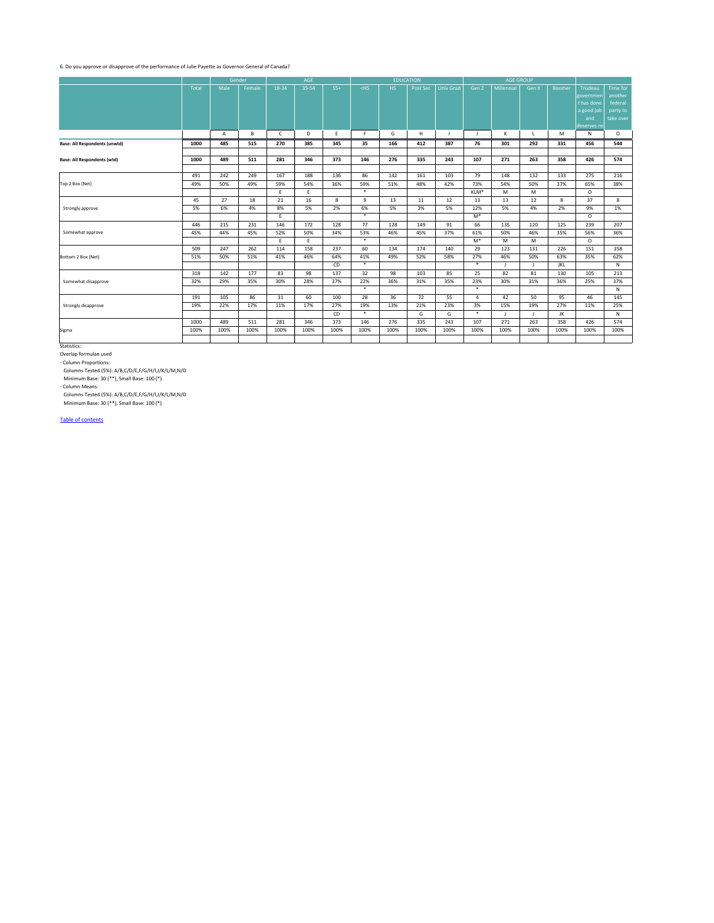|                                      |            |            | Gender    |              | AGE         |            |               |           | <b>EDUCATION</b> |                  |                      | <b>AGE GROUP</b> |           |               |                                    |                                |
|--------------------------------------|------------|------------|-----------|--------------|-------------|------------|---------------|-----------|------------------|------------------|----------------------|------------------|-----------|---------------|------------------------------------|--------------------------------|
|                                      | Total      | Male       | Female    | 18-34        | 35-54       | $55+$      | $<$ HS        | HS        | Post Sec         | <b>Univ Grad</b> | Gen Z                | Millennial       | Gen X     | <b>Boomer</b> | Trudeau<br>governmen<br>t has done | Time for<br>another<br>federal |
|                                      |            |            |           |              |             |            |               |           |                  |                  |                      |                  |           |               | a good job<br>and<br>deserves re   | party to<br>take over          |
|                                      |            | A          | B         | $\mathsf{C}$ | D           | E          | F.            | G         | H                |                  | $\mathsf{J}$         | K                |           | M             | N                                  | $\mathsf{O}$                   |
| <b>Base: All Respondents (unwtd)</b> | 1000       | 485        | 515       | 270          | 385         | 345        | 35            | 166       | 412              | 387              | 76                   | 301              | 292       | 331           | 456                                | 544                            |
| <b>Base: All Respondents (wtd)</b>   | 1000       | 489        | 511       | 281          | 346         | 373        | 146           | 276       | 335              | 243              | 107                  | 271              | 263       | 358           | 426                                | 574                            |
|                                      | 491        | 242        | 249       | 167          | 188         | 136        | 86            | 142       | 161              | 103              | 79                   | 148              | 132       | 133           | 275                                | 216                            |
| Top 2 Box (Net)                      | 49%        | 50%        | 49%       | 59%          | 54%         | 36%        | 59%           | 51%       | 48%              | 42%              | 73%                  | 54%              | 50%       | 37%           | 65%                                | 38%                            |
|                                      |            |            |           | E.           | E           |            | $\ast$        |           |                  |                  | KLM*                 | M                | M         |               | $\circ$                            |                                |
|                                      | 45         | 27         | 18        | 21           | 16          | 8          | 9             | 13        | 11               | 12               | 13                   | 13               | 12        | 8             | 37                                 | 8                              |
| Strongly approve                     | 5%         | 6%         | 4%        | 8%           | 5%          | 2%         | 6%            | 5%        | 3%               | 5%               | 12%                  | 5%               | 4%        | 2%            | 9%                                 | 1%                             |
|                                      |            |            |           | E.           |             |            | $\ast$        |           |                  |                  | $M^*$                |                  |           |               | $\circ$                            |                                |
|                                      | 446        | 215        | 231       | 146          | 172         | 128        | 77            | 128       | 149              | 91               | 66                   | 135              | 120       | 125           | 239                                | 207                            |
| Somewhat approve                     | 45%        | 44%        | 45%       | 52%          | 50%         | 34%        | 53%           | 46%       | 45%              | 37%              | 61%                  | 50%              | 46%       | 35%           | 56%                                | 36%                            |
|                                      |            |            |           | E            | $\mathsf E$ |            | $\ast$        |           |                  |                  | $M^*$                | M                | M         |               | $\mathsf O$                        |                                |
|                                      | 509        | 247        | 262       | 114          | 158         | 237        | 60            | 134       | 174              | 140              | 29                   | 123              | 131       | 226           | 151                                | 358                            |
| Bottom 2 Box (Net)                   | 51%        | 50%        | 51%       | 41%          | 46%         | 64%        | 41%           | 49%       | 52%              | 58%              | 27%                  | 46%              | 50%       | 63%           | 35%                                | 62%                            |
|                                      |            |            |           |              |             | CD         | $\ast$        |           |                  |                  | $\ast$               | $\mathsf{J}$     | J         | JKL           |                                    | $\mathsf{N}$                   |
|                                      | 318        | 142        | 177       | 83           | 98          | 137        | 32            | 98        | 103              | 85               | 25                   | 82               | 81        | 130           | 105                                | 213                            |
| Somewhat disapprove                  | 32%        | 29%        | 35%       | 30%          | 28%         | 37%        | 22%<br>$\ast$ | 36%       | 31%              | 35%              | 23%<br>$\ast$        | 30%              | 31%       | 36%           | 25%                                | 37%                            |
|                                      |            |            |           |              |             |            |               |           |                  |                  |                      |                  |           |               |                                    | $\mathsf{N}$                   |
|                                      | 191<br>19% | 105<br>22% | 86<br>17% | 31<br>11%    | 60<br>17%   | 100<br>27% | 28<br>19%     | 36<br>13% | 72<br>21%        | 55<br>23%        | $\overline{4}$<br>3% | 42<br>15%        | 50<br>19% | 95<br>27%     | 46<br>11%                          | 145<br>25%                     |
| Strongly disapprove                  |            |            |           |              |             | CD         | $\ast$        |           | G                | G                | $\ast$               | $\mathsf{J}$     | J         | JK            |                                    | $\mathsf{N}$                   |
|                                      | 1000       | 489        | 511       | 281          | 346         | 373        | 146           | 276       | 335              | 243              | 107                  | 271              | 263       | 358           | 426                                | 574                            |
| Sigma                                | 100%       | 100%       | 100%      | 100%         | 100%        | 100%       | 100%          | 100%      | 100%             | 100%             | 100%                 | 100%             | 100%      | 100%          | 100%                               | 100%                           |
|                                      |            |            |           |              |             |            |               |           |                  |                  |                      |                  |           |               |                                    |                                |

Columns Tested (5%): A/B,C/D/E,F/G/H/I,J/K/L/M,N/O

Minimum Base: 30 (\*\*), Small Base: 100 (\*)

- Column Means:

Columns Tested (5%): A/B,C/D/E,F/G/H/I,J/K/L/M,N/O

Minimum Base: 30 (\*\*), Small Base: 100 (\*)

Statistics:

Overlap formulae used

- Column Proportions:

# 6. Do you approve or disapprove of the performance of Julie Payette as Governor General of Canada?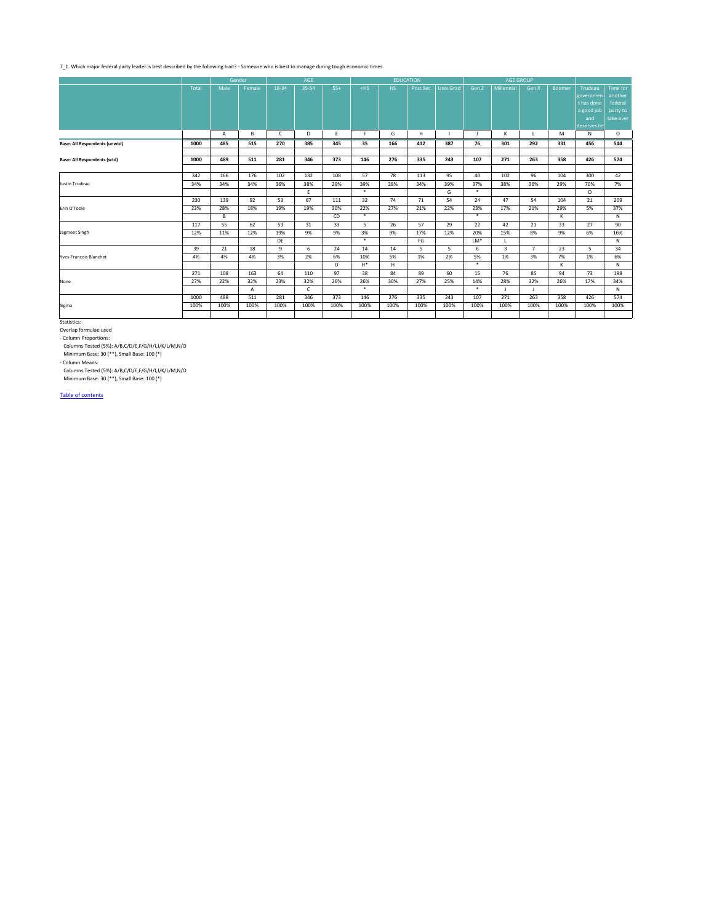|                                      |       |      | Gender |              | AGE          |       |                |      | <b>EDUCATION</b> |                  |              | <b>AGE GROUP</b> |                |               |             |              |
|--------------------------------------|-------|------|--------|--------------|--------------|-------|----------------|------|------------------|------------------|--------------|------------------|----------------|---------------|-------------|--------------|
|                                      | Total | Male | Female | 18-34        | 35-54        | $55+$ | $<$ HS         | HS.  | Post Sec         | <b>Univ Grad</b> | Gen Z        | Millennial       | Gen X          | <b>Boomer</b> | Trudeau     | Time for     |
|                                      |       |      |        |              |              |       |                |      |                  |                  |              |                  |                |               | governmen   | another      |
|                                      |       |      |        |              |              |       |                |      |                  |                  |              |                  |                |               | t has done  | federal      |
|                                      |       |      |        |              |              |       |                |      |                  |                  |              |                  |                |               | a good job  | party to     |
|                                      |       |      |        |              |              |       |                |      |                  |                  |              |                  |                |               | and         | take over    |
|                                      |       |      |        |              |              |       |                |      |                  |                  |              |                  |                |               | deserves re |              |
|                                      |       | Α    | B      | $\mathsf{C}$ | D            | E     | F.             | G    | H                |                  | $\mathsf{J}$ | K                |                | M             | N           | $\circ$      |
| <b>Base: All Respondents (unwtd)</b> | 1000  | 485  | 515    | 270          | 385          | 345   | 35             | 166  | 412              | 387              | 76           | 301              | 292            | 331           | 456         | 544          |
|                                      |       |      |        |              |              |       |                |      |                  |                  |              |                  |                |               |             |              |
| <b>Base: All Respondents (wtd)</b>   | 1000  | 489  | 511    | 281          | 346          | 373   | 146            | 276  | 335              | 243              | 107          | 271              | 263            | 358           | 426         | 574          |
|                                      |       |      |        |              |              |       |                |      |                  |                  |              |                  |                |               |             |              |
|                                      | 342   | 166  | 176    | 102          | 132          | 108   | 57             | 78   | 113              | 95               | 40           | 102              | 96             | 104           | 300         | 42           |
| Justin Trudeau                       | 34%   | 34%  | 34%    | 36%          | 38%          | 29%   | 39%            | 28%  | 34%              | 39%              | 37%          | 38%              | 36%            | 29%           | 70%         | 7%           |
|                                      |       |      |        |              | E.           |       | $\ast$         |      |                  | G                | $\ast$       |                  |                |               | $\circ$     |              |
|                                      | 230   | 139  | 92     | 53           | 67           | 111   | 32             | 74   | 71               | 54               | 24           | 47               | 54             | 104           | 21          | 209          |
| Erin O'Toole                         | 23%   | 28%  | 18%    | 19%          | 19%          | 30%   | 22%            | 27%  | 21%              | 22%              | 23%          | 17%              | 21%            | 29%           | 5%          | 37%          |
|                                      |       | B    |        |              |              | CD    | $\ast$         |      |                  |                  | $\ast$       |                  |                | К             |             | $\mathsf{N}$ |
|                                      | 117   | 55   | 62     | 53           | 31           | 33    | 5 <sub>1</sub> | 26   | 57               | 29               | 22           | 42               | 21             | 33            | 27          | 90           |
| Jagmeet Singh                        | 12%   | 11%  | 12%    | 19%          | 9%           | 9%    | 3%             | 9%   | 17%              | 12%              | 20%          | 15%              | 8%             | 9%            | 6%          | 16%          |
|                                      |       |      |        | DE           |              |       | $\ast$         |      | FG               |                  | LM*          | L                |                |               |             | ${\sf N}$    |
|                                      | 39    | 21   | 18     | 9            | 6            | 24    | 14             | 14   | 5                | 5 <sup>5</sup>   | 6            | $\overline{3}$   | $\overline{7}$ | 23            | $5^{\circ}$ | 34           |
| Yves-Francois Blanchet               | 4%    | 4%   | 4%     | 3%           | 2%           | 6%    | 10%            | 5%   | 1%               | 2%               | 5%           | 1%               | 3%             | 7%            | 1%          | 6%           |
|                                      |       |      |        |              |              | D     | $H^*$          | H    |                  |                  | $\ast$       |                  |                | К             |             | $\mathsf{N}$ |
|                                      | 271   | 108  | 163    | 64           | 110          | 97    | 38             | 84   | 89               | 60               | 15           | 76               | 85             | 94            | 73          | 198          |
| None                                 | 27%   | 22%  | 32%    | 23%          | 32%          | 26%   | 26%            | 30%  | 27%              | 25%              | 14%          | 28%              | 32%            | 26%           | 17%         | 34%          |
|                                      |       |      | A      |              | $\mathsf{C}$ |       | $\ast$         |      |                  |                  | $\ast$       | $\mathsf{J}$     |                |               |             | ${\sf N}$    |
|                                      | 1000  | 489  | 511    | 281          | 346          | 373   | 146            | 276  | 335              | 243              | 107          | 271              | 263            | 358           | 426         | 574          |
| Sigma                                | 100%  | 100% | 100%   | 100%         | 100%         | 100%  | 100%           | 100% | 100%             | 100%             | 100%         | 100%             | 100%           | 100%          | 100%        | 100%         |
|                                      |       |      |        |              |              |       |                |      |                  |                  |              |                  |                |               |             |              |

Minimum Base: 30 (\*\*), Small Base: 100 (\*)

- Column Means:

Columns Tested (5%): A/B,C/D/E,F/G/H/I,J/K/L/M,N/O

Minimum Base: 30 (\*\*), Small Base: 100 (\*)

Statistics:

Overlap formulae used

- Column Proportions:

Columns Tested (5%): A/B,C/D/E,F/G/H/I,J/K/L/M,N/O

# 7\_1. Which major federal party leader is best described by the following trait? - Someone who is best to manage during tough economic times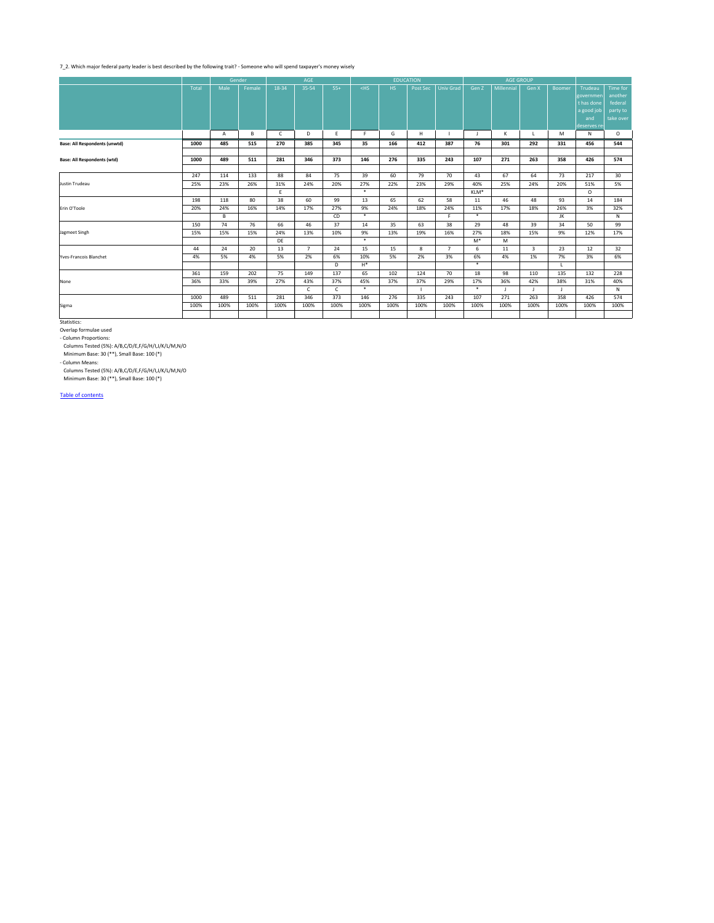|                                      | Gender<br>Total<br>Male<br>Female |      |      | AGE          |                |              |        | <b>EDUCATION</b> |              |                | <b>AGE GROUP</b> |                   |              |               |             |                 |
|--------------------------------------|-----------------------------------|------|------|--------------|----------------|--------------|--------|------------------|--------------|----------------|------------------|-------------------|--------------|---------------|-------------|-----------------|
|                                      |                                   |      |      | 18-34        | 35-54          | $55+$        | $<$ HS | HS               | Post Sec     | Univ Grad      | Gen Z            | <b>Millennial</b> | Gen X        | <b>Boomer</b> | Trudeau     | Time for        |
|                                      |                                   |      |      |              |                |              |        |                  |              |                |                  |                   |              |               | governmen   | another         |
|                                      |                                   |      |      |              |                |              |        |                  |              |                |                  |                   |              |               | t has done  | federal         |
|                                      |                                   |      |      |              |                |              |        |                  |              |                |                  |                   |              |               | a good job  | party to        |
|                                      |                                   |      |      |              |                |              |        |                  |              |                |                  |                   |              |               | and         | take over       |
|                                      |                                   |      |      |              |                |              |        |                  |              |                |                  |                   |              |               | deserves re |                 |
|                                      |                                   | A    | B    | $\mathsf{C}$ | D              | E            | F.     | G                | H            |                | $\mathsf{J}$     | K                 |              | M             | N           | $\circ$         |
| <b>Base: All Respondents (unwtd)</b> | 1000                              | 485  | 515  | 270          | 385            | 345          | 35     | 166              | 412          | 387            | 76               | 301               | 292          | 331           | 456         | 544             |
|                                      |                                   |      |      |              |                |              |        |                  |              |                |                  |                   |              |               |             |                 |
| <b>Base: All Respondents (wtd)</b>   | 1000                              | 489  | 511  | 281          | 346            | 373          | 146    | 276              | 335          | 243            | 107              | 271               | 263          | 358           | 426         | 574             |
|                                      |                                   |      |      |              |                |              |        |                  |              |                |                  |                   |              |               |             |                 |
|                                      | 247                               | 114  | 133  | 88           | 84             | 75           | 39     | 60               | 79           | 70             | 43               | 67                | 64           | 73            | 217         | 30 <sup>°</sup> |
| Justin Trudeau                       | 25%                               | 23%  | 26%  | 31%          | 24%            | 20%          | 27%    | 22%              | 23%          | 29%            | 40%              | 25%               | 24%          | 20%           | 51%         | 5%              |
|                                      |                                   |      |      | E            |                |              | $\ast$ |                  |              |                | KLM*             |                   |              |               | $\circ$     |                 |
|                                      | 198                               | 118  | 80   | 38           | 60             | 99           | 13     | 65               | 62           | 58             | 11               | 46                | 48           | 93            | 14          | 184             |
| Erin O'Toole                         | 20%                               | 24%  | 16%  | 14%          | 17%            | 27%          | 9%     | 24%              | 18%          | 24%            | 11%              | 17%               | 18%          | 26%           | 3%          | 32%             |
|                                      |                                   | B    |      |              |                | CD           | $\ast$ |                  |              | F              | $\ast$           |                   |              | JK            |             | N               |
|                                      | 150                               | 74   | 76   | 66           | 46             | 37           | 14     | 35               | 63           | 38             | 29               | 48                | 39           | 34            | 50          | 99              |
| Jagmeet Singh                        | 15%                               | 15%  | 15%  | 24%          | 13%            | 10%          | 9%     | 13%              | 19%          | 16%            | 27%              | 18%               | 15%          | 9%            | 12%         | 17%             |
|                                      |                                   |      |      | DE           |                |              | $\ast$ |                  |              |                | $M^*$            | M                 |              |               |             |                 |
|                                      | 44                                | 24   | 20   | 13           | $\overline{7}$ | 24           | 15     | 15               | 8            | $\overline{7}$ | 6                | 11                | $\mathbf{3}$ | 23            | 12          | 32              |
| Yves-Francois Blanchet               | 4%                                | 5%   | 4%   | 5%           | 2%             | 6%           | 10%    | 5%               | 2%           | 3%             | 6%               | 4%                | 1%           | 7%            | 3%          | 6%              |
|                                      |                                   |      |      |              |                | D            | $H^*$  |                  |              |                | $\ast$           |                   |              | L.            |             |                 |
|                                      | 361                               | 159  | 202  | 75           | 149            | 137          | 65     | 102              | 124          | 70             | 18               | 98                | 110          | 135           | 132         | 228             |
| None                                 | 36%                               | 33%  | 39%  | 27%          | 43%            | 37%          | 45%    | 37%              | 37%          | 29%            | 17%              | 36%               | 42%          | 38%           | 31%         | 40%             |
|                                      |                                   |      |      |              | $\mathsf{C}$   | $\mathsf{C}$ | $\ast$ |                  | $\mathbf{I}$ |                | $\ast$           | $\perp$           |              | $\Box$        |             | N               |
|                                      | 1000                              | 489  | 511  | 281          | 346            | 373          | 146    | 276              | 335          | 243            | 107              | 271               | 263          | 358           | 426         | 574             |
| Sigma                                | 100%                              | 100% | 100% | 100%         | 100%           | 100%         | 100%   | 100%             | 100%         | 100%           | 100%             | 100%              | 100%         | 100%          | 100%        | 100%            |
|                                      |                                   |      |      |              |                |              |        |                  |              |                |                  |                   |              |               |             |                 |

Minimum Base: 30 (\*\*), Small Base: 100 (\*)

- Column Means:

Columns Tested (5%): A/B,C/D/E,F/G/H/I,J/K/L/M,N/O

Minimum Base: 30 (\*\*), Small Base: 100 (\*)

Statistics:

Overlap formulae used

- Column Proportions:

Columns Tested (5%): A/B,C/D/E,F/G/H/I,J/K/L/M,N/O

## 7\_2. Which major federal party leader is best described by the following trait? - Someone who will spend taxpayer's money wisely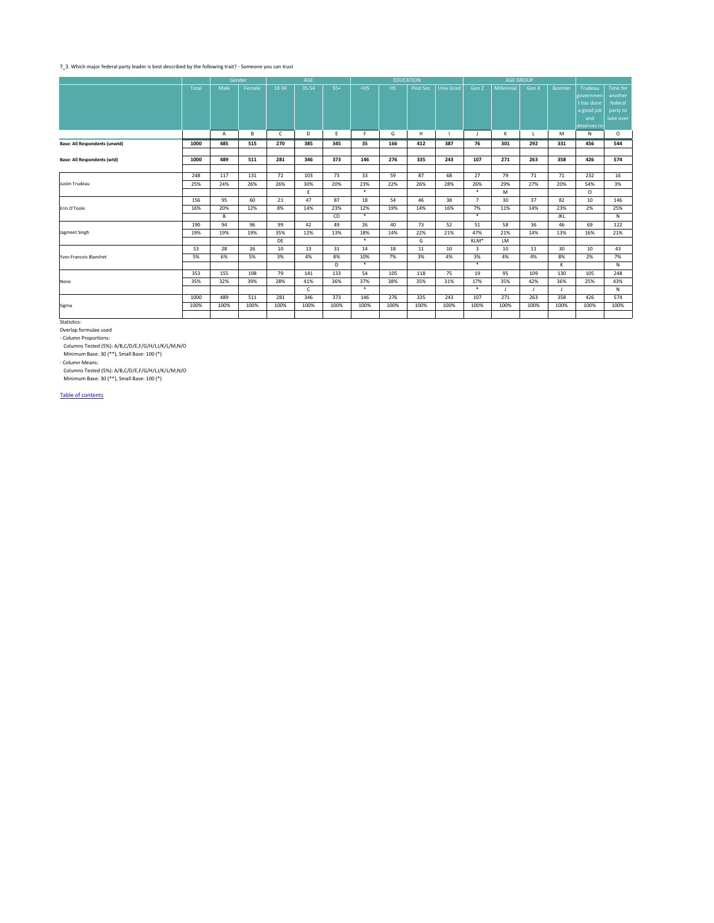|                                      |       |      | Gender |              | AGE<br>35-54<br>$55+$<br>18-34 |      |        |      | <b>EDUCATION</b> |           |                | <b>AGE GROUP</b> |       |               |             |              |
|--------------------------------------|-------|------|--------|--------------|--------------------------------|------|--------|------|------------------|-----------|----------------|------------------|-------|---------------|-------------|--------------|
|                                      | Total | Male | Female |              |                                |      | $<$ HS | HS   | Post Sec         | Univ Grad | Gen Z          | Millennial       | Gen X | <b>Boomer</b> | Trudeau     | Time for     |
|                                      |       |      |        |              |                                |      |        |      |                  |           |                |                  |       |               | governmen   | another      |
|                                      |       |      |        |              |                                |      |        |      |                  |           |                |                  |       |               | t has done  | federal      |
|                                      |       |      |        |              |                                |      |        |      |                  |           |                |                  |       |               | a good job  | party to     |
|                                      |       |      |        |              |                                |      |        |      |                  |           |                |                  |       |               | and         | take over    |
|                                      |       |      |        |              |                                |      |        |      |                  |           |                |                  |       |               | deserves re |              |
|                                      |       | A    | B      | $\mathsf{C}$ | D                              | E    | F      | G    | H                |           | J              | K                |       | M             | N           | $\circ$      |
| <b>Base: All Respondents (unwtd)</b> | 1000  | 485  | 515    | 270          | 385                            | 345  | 35     | 166  | 412              | 387       | 76             | 301              | 292   | 331           | 456         | 544          |
|                                      |       |      |        |              |                                |      |        |      |                  |           |                |                  |       |               |             |              |
| <b>Base: All Respondents (wtd)</b>   | 1000  | 489  | 511    | 281          | 346                            | 373  | 146    | 276  | 335              | 243       | 107            | 271              | 263   | 358           | 426         | 574          |
|                                      |       |      |        |              |                                |      |        |      |                  |           |                |                  |       |               |             |              |
|                                      | 248   | 117  | 131    | 72           | 103                            | 73   | 33     | 59   | 87               | 68        | 27             | 79               | 71    | 71            | 232         | 16           |
| Justin Trudeau                       | 25%   | 24%  | 26%    | 26%          | 30%                            | 20%  | 23%    | 22%  | 26%              | 28%       | 26%            | 29%              | 27%   | 20%           | 54%         | 3%           |
|                                      |       |      |        |              | E                              |      | $\ast$ |      |                  |           | $\ast$         | M                |       |               | $\circ$     |              |
|                                      | 156   | 95   | 60     | 21           | 47                             | 87   | 18     | 54   | 46               | 38        | $\overline{7}$ | 30               | 37    | 82            | 10          | 146          |
| Erin O'Toole                         | 16%   | 20%  | 12%    | 8%           | 14%                            | 23%  | 12%    | 19%  | 14%              | 16%       | 7%             | 11%              | 14%   | 23%           | 2%          | 25%          |
|                                      |       | B    |        |              |                                | CD   | $\ast$ |      |                  |           | $\ast$         |                  |       | JKL           |             | N            |
|                                      | 190   | 94   | 96     | 99           | 42                             | 49   | 26     | 40   | 73               | 52        | 51             | 58               | 36    | 46            | 69          | 122          |
| Jagmeet Singh                        | 19%   | 19%  | 19%    | 35%          | 12%                            | 13%  | 18%    | 14%  | 22%              | 21%       | 47%            | 21%              | 14%   | 13%           | 16%         | 21%          |
|                                      |       |      |        | DE           |                                |      | $\ast$ |      | G                |           | KLM*           | LM               |       |               |             |              |
|                                      | 53    | 28   | 26     | 10           | 13                             | 31   | 14     | 18   | 11               | 10        | $\mathbf{3}$   | 10               | 11    | 30            | 10          | 43           |
| <b>Yves-Francois Blanchet</b>        | 5%    | 6%   | 5%     | 3%           | 4%                             | 8%   | 10%    | 7%   | 3%               | 4%        | 3%             | 4%               | 4%    | 8%            | 2%          | 7%           |
|                                      |       |      |        |              |                                | D    | $\ast$ |      |                  |           | $\ast$         |                  |       | К             |             | $\mathsf{N}$ |
|                                      | 353   | 155  | 198    | 79           | 141                            | 133  | 54     | 105  | 118              | 75        | 19             | 95               | 109   | 130           | 105         | 248          |
| None                                 | 35%   | 32%  | 39%    | 28%          | 41%                            | 36%  | 37%    | 38%  | 35%              | 31%       | 17%            | 35%              | 42%   | 36%           | 25%         | 43%          |
|                                      |       |      |        |              | $\mathsf C$                    |      | $\ast$ |      |                  |           | $\ast$         | $\mathbf{J}$     |       | J             |             | $\mathsf{N}$ |
|                                      | 1000  | 489  | 511    | 281          | 346                            | 373  | 146    | 276  | 335              | 243       | 107            | 271              | 263   | 358           | 426         | 574          |
| Sigma                                | 100%  | 100% | 100%   | 100%         | 100%                           | 100% | 100%   | 100% | 100%             | 100%      | 100%           | 100%             | 100%  | 100%          | 100%        | 100%         |
|                                      |       |      |        |              |                                |      |        |      |                  |           |                |                  |       |               |             |              |

Minimum Base: 30 (\*\*), Small Base: 100 (\*)

- Column Means:

Columns Tested (5%): A/B,C/D/E,F/G/H/I,J/K/L/M,N/O

Minimum Base: 30 (\*\*), Small Base: 100 (\*)

Statistics:

Overlap formulae used

- Column Proportions:

Columns Tested (5%): A/B,C/D/E,F/G/H/I,J/K/L/M,N/O

## 7\_3. Which major federal party leader is best described by the following trait? - Someone you can trust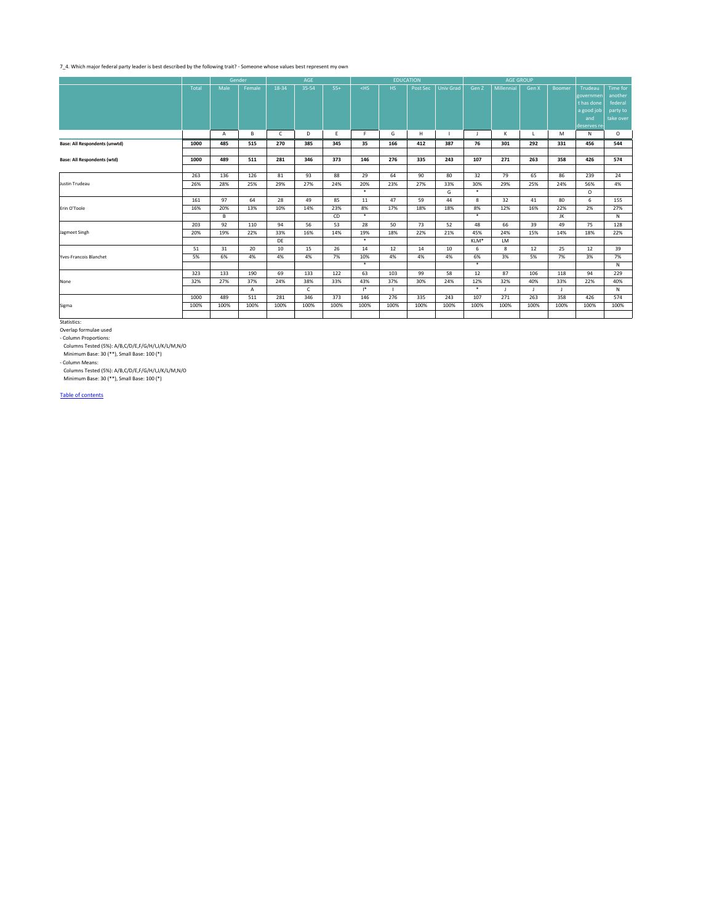|                                      |       |                | Gender | AGE<br>18-34<br>35-54<br>$55+$ |              |      |                | <b>EDUCATION</b> |          |           | <b>AGE GROUP</b> |              |       |               |              |           |
|--------------------------------------|-------|----------------|--------|--------------------------------|--------------|------|----------------|------------------|----------|-----------|------------------|--------------|-------|---------------|--------------|-----------|
|                                      | Total | Male           | Female |                                |              |      | $<$ HS         | HS               | Post Sec | Univ Grad | Gen Z            | Millennial   | Gen X | <b>Boomer</b> | Trudeau      | Time for  |
|                                      |       |                |        |                                |              |      |                |                  |          |           |                  |              |       |               | governmen    | another   |
|                                      |       |                |        |                                |              |      |                |                  |          |           |                  |              |       |               | t has done   | federal   |
|                                      |       |                |        |                                |              |      |                |                  |          |           |                  |              |       |               | a good job   | party to  |
|                                      |       |                |        |                                |              |      |                |                  |          |           |                  |              |       |               | and          | take over |
|                                      |       |                |        |                                |              |      |                |                  |          |           |                  |              |       |               | deserves re  |           |
|                                      |       | $\overline{A}$ | B      | $\mathsf{C}$                   | D            | E    | F.             | G                | H        |           | J                | K            |       | M             | $\mathsf{N}$ | $\circ$   |
| <b>Base: All Respondents (unwtd)</b> | 1000  | 485            | 515    | 270                            | 385          | 345  | 35             | 166              | 412      | 387       | 76               | 301          | 292   | 331           | 456          | 544       |
|                                      |       |                |        |                                |              |      |                |                  |          |           |                  |              |       |               |              |           |
| <b>Base: All Respondents (wtd)</b>   | 1000  | 489            | 511    | 281                            | 346          | 373  | 146            | 276              | 335      | 243       | 107              | 271          | 263   | 358           | 426          | 574       |
|                                      |       |                |        |                                |              |      |                |                  |          |           |                  |              |       |               |              |           |
|                                      | 263   | 136            | 126    | 81                             | 93           | 88   | 29             | 64               | 90       | 80        | 32               | 79           | 65    | 86            | 239          | 24        |
| Justin Trudeau                       | 26%   | 28%            | 25%    | 29%                            | 27%          | 24%  | 20%            | 23%              | 27%      | 33%       | 30%              | 29%          | 25%   | 24%           | 56%          | 4%        |
|                                      |       |                |        |                                |              |      | $\ast$         |                  |          | G         | $\ast$           |              |       |               | $\circ$      |           |
|                                      | 161   | 97             | 64     | 28                             | 49           | 85   | 11             | 47               | 59       | 44        | 8                | 32           | 41    | 80            | 6            | 155       |
| Erin O'Toole                         | 16%   | 20%            | 13%    | 10%                            | 14%          | 23%  | 8%             | 17%              | 18%      | 18%       | 8%               | 12%          | 16%   | 22%           | 2%           | 27%       |
|                                      |       | B              |        |                                |              | CD   | $\ast$         |                  |          |           | $\ast$           |              |       | JK            |              | N         |
|                                      | 203   | 92             | 110    | 94                             | 56           | 53   | 28             | 50               | 73       | 52        | 48               | 66           | 39    | 49            | 75           | 128       |
| Jagmeet Singh                        | 20%   | 19%            | 22%    | 33%                            | 16%          | 14%  | 19%            | 18%              | 22%      | 21%       | 45%              | 24%          | 15%   | 14%           | 18%          | 22%       |
|                                      |       |                |        | DE                             |              |      | $\ast$         |                  |          |           | KLM*             | LM           |       |               |              |           |
|                                      | 51    | 31             | 20     | 10                             | 15           | 26   | 14             | 12               | 14       | 10        | 6                | 8            | 12    | 25            | 12           | 39        |
| Yves-Francois Blanchet               | 5%    | 6%             | 4%     | 4%                             | 4%           | 7%   | 10%            | 4%               | 4%       | 4%        | 6%               | 3%           | 5%    | 7%            | 3%           | 7%        |
|                                      |       |                |        |                                |              |      | $\ast$         |                  |          |           | $\ast$           |              |       |               |              | N         |
|                                      | 323   | 133            | 190    | 69                             | 133          | 122  | 63             | 103              | 99       | 58        | 12               | 87           | 106   | 118           | 94           | 229       |
| None                                 | 32%   | 27%            | 37%    | 24%                            | 38%          | 33%  | 43%            | 37%              | 30%      | 24%       | 12%              | 32%          | 40%   | 33%           | 22%          | 40%       |
|                                      |       |                | A      |                                | $\mathsf{C}$ |      | $\mathsf{I}^*$ | $\mathbf{I}$     |          |           | $\ast$           | $\mathsf{J}$ |       | J             |              | N         |
|                                      | 1000  | 489            | 511    | 281                            | 346          | 373  | 146            | 276              | 335      | 243       | 107              | 271          | 263   | 358           | 426          | 574       |
| Sigma                                | 100%  | 100%           | 100%   | 100%                           | 100%         | 100% | 100%           | 100%             | 100%     | 100%      | 100%             | 100%         | 100%  | 100%          | 100%         | 100%      |
|                                      |       |                |        |                                |              |      |                |                  |          |           |                  |              |       |               |              |           |

Minimum Base: 30 (\*\*), Small Base: 100 (\*)

- Column Means:

Columns Tested (5%): A/B,C/D/E,F/G/H/I,J/K/L/M,N/O

Minimum Base: 30 (\*\*), Small Base: 100 (\*)

Statistics:

Overlap formulae used

- Column Proportions:

Columns Tested (5%): A/B,C/D/E,F/G/H/I,J/K/L/M,N/O

## 7\_4. Which major federal party leader is best described by the following trait? - Someone whose values best represent my own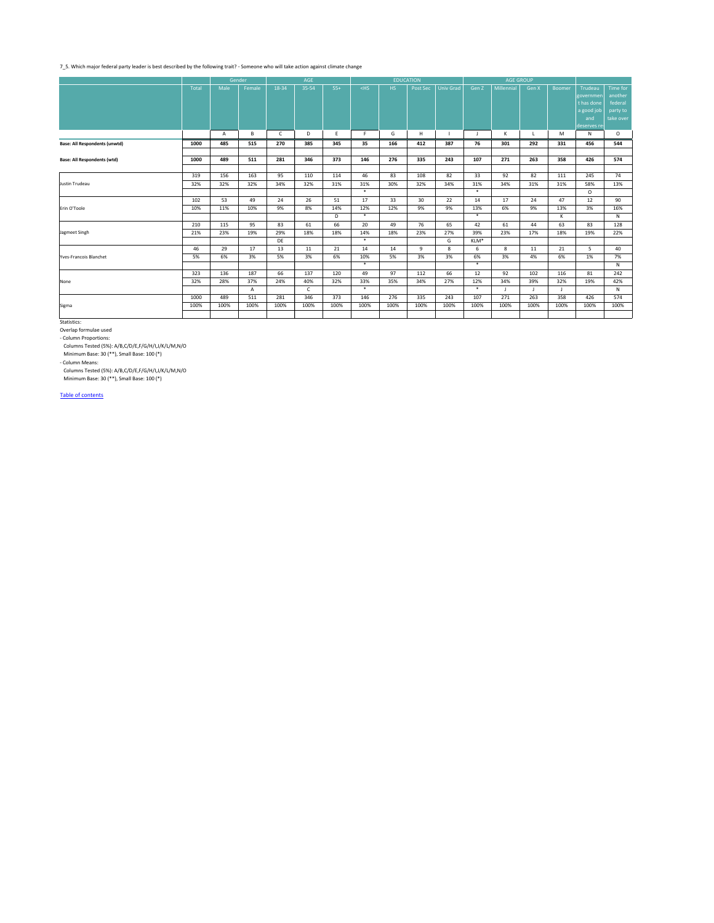|                                      |              | Gender |        | AGE          |              |       | <b>EDUCATION</b> |      |          |                  | <b>AGE GROUP</b> |            |       |               |                |              |
|--------------------------------------|--------------|--------|--------|--------------|--------------|-------|------------------|------|----------|------------------|------------------|------------|-------|---------------|----------------|--------------|
|                                      | <b>Total</b> | Male   | Female | 18-34        | 35-54        | $55+$ | $<$ HS           | HS   | Post Sec | <b>Univ Grad</b> | Gen Z            | Millennial | Gen X | <b>Boomer</b> | <b>Trudeau</b> | Time for     |
|                                      |              |        |        |              |              |       |                  |      |          |                  |                  |            |       |               | governmen      | another      |
|                                      |              |        |        |              |              |       |                  |      |          |                  |                  |            |       |               | t has done     | federal      |
|                                      |              |        |        |              |              |       |                  |      |          |                  |                  |            |       |               | a good job     | party to     |
|                                      |              |        |        |              |              |       |                  |      |          |                  |                  |            |       |               | and            | take over    |
|                                      |              |        |        |              |              |       |                  |      |          |                  |                  |            |       |               | deserves re    |              |
|                                      |              | Α      | B      | $\mathsf{C}$ | D            | E     | F                | G    | H        |                  | J                | K          |       | M             | N              | $\circ$      |
| <b>Base: All Respondents (unwtd)</b> | 1000         | 485    | 515    | 270          | 385          | 345   | 35               | 166  | 412      | 387              | 76               | 301        | 292   | 331           | 456            | 544          |
|                                      |              |        |        |              |              |       |                  |      |          |                  |                  |            |       |               |                |              |
| <b>Base: All Respondents (wtd)</b>   | 1000         | 489    | 511    | 281          | 346          | 373   | 146              | 276  | 335      | 243              | 107              | 271        | 263   | 358           | 426            | 574          |
|                                      |              |        |        |              |              |       |                  |      |          |                  |                  |            |       |               |                |              |
| Justin Trudeau                       | 319          | 156    | 163    | 95           | 110          | 114   | 46               | 83   | 108      | 82               | 33               | 92         | 82    | 111           | 245            | 74           |
|                                      | 32%          | 32%    | 32%    | 34%          | 32%          | 31%   | 31%              | 30%  | 32%      | 34%              | 31%              | 34%        | 31%   | 31%           | 58%            | 13%          |
|                                      |              |        |        |              |              |       | $\ast$           |      |          |                  | $\ast$           |            |       |               | $\circ$        |              |
|                                      | 102          | 53     | 49     | 24           | 26           | 51    | 17               | 33   | 30       | 22               | 14               | 17         | 24    | 47            | 12             | 90           |
| Erin O'Toole                         | 10%          | 11%    | 10%    | 9%           | 8%           | 14%   | 12%              | 12%  | 9%       | 9%               | 13%              | 6%         | 9%    | 13%           | 3%             | 16%          |
|                                      |              |        |        |              |              | D     | $\ast$           |      |          |                  | $\ast$           |            |       | К             |                | N            |
|                                      | 210          | 115    | 95     | 83           | 61           | 66    | 20               | 49   | 76       | 65               | 42               | 61         | 44    | 63            | 83             | 128          |
| Jagmeet Singh                        | 21%          | 23%    | 19%    | 29%          | 18%          | 18%   | 14%              | 18%  | 23%      | 27%              | 39%              | 23%        | 17%   | 18%           | 19%            | 22%          |
|                                      |              |        |        | DE           |              |       | $\ast$           |      |          | G                | KLM*             |            |       |               |                |              |
|                                      | 46           | 29     | 17     | 13           | 11           | 21    | 14               | 14   | 9        | 8                | 6                | 8          | 11    | 21            | 5 <sub>1</sub> | 40           |
| Yves-Francois Blanchet               | 5%           | 6%     | 3%     | 5%           | 3%           | 6%    | 10%              | 5%   | 3%       | 3%               | 6%               | 3%         | 4%    | 6%            | 1%             | 7%           |
|                                      |              |        |        |              |              |       | $\ast$           |      |          |                  | $\ast$           |            |       |               |                | $\mathsf{N}$ |
|                                      | 323          | 136    | 187    | 66           | 137          | 120   | 49               | 97   | 112      | 66               | 12               | 92         | 102   | 116           | 81             | 242          |
| None                                 | 32%          | 28%    | 37%    | 24%          | 40%          | 32%   | 33%              | 35%  | 34%      | 27%              | 12%              | 34%        | 39%   | 32%           | 19%            | 42%          |
|                                      |              |        | A      |              | $\mathsf{C}$ |       | $\ast$           |      |          |                  | $\ast$           | J          |       | $\Box$        |                | N            |
|                                      | 1000         | 489    | 511    | 281          | 346          | 373   | 146              | 276  | 335      | 243              | 107              | 271        | 263   | 358           | 426            | 574          |
| Sigma                                | 100%         | 100%   | 100%   | 100%         | 100%         | 100%  | 100%             | 100% | 100%     | 100%             | 100%             | 100%       | 100%  | 100%          | 100%           | 100%         |
|                                      |              |        |        |              |              |       |                  |      |          |                  |                  |            |       |               |                |              |

Minimum Base: 30 (\*\*), Small Base: 100 (\*)

- Column Means:

Columns Tested (5%): A/B,C/D/E,F/G/H/I,J/K/L/M,N/O

Minimum Base: 30 (\*\*), Small Base: 100 (\*)

Statistics:

Overlap formulae used

- Column Proportions:

Columns Tested (5%): A/B,C/D/E,F/G/H/I,J/K/L/M,N/O

# 7\_5. Which major federal party leader is best described by the following trait? - Someone who will take action against climate change